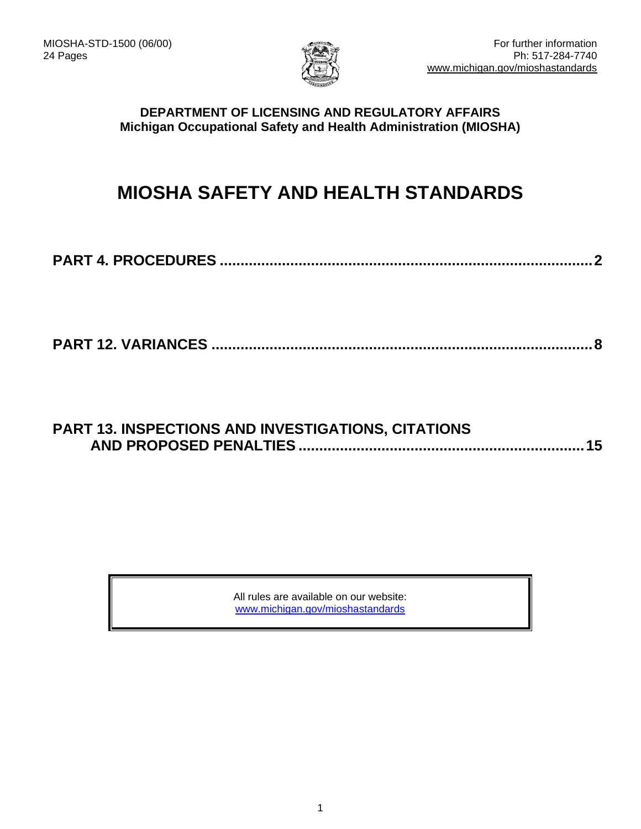

### **DEPARTMENT OF LICENSING AND REGULATORY AFFAIRS Michigan Occupational Safety and Health Administration (MIOSHA)**

# **MIOSHA SAFETY AND HEALTH STANDARDS**

```
PART 4. PROCEDURES ..........................................................................................2
```
**PART 12. VARIANCES [............................................................................................8](#page-7-0)**

## **[PART 13. INSPECTIONS AND INVESTIGATIONS, CITATIONS](#page-14-0)  AND PROPOSED PENALTIES [.....................................................................15](#page-14-1)**

All rules are available on our website: [www.michigan.gov/mioshastandards](http://www.michigan.gov/mioshastandards)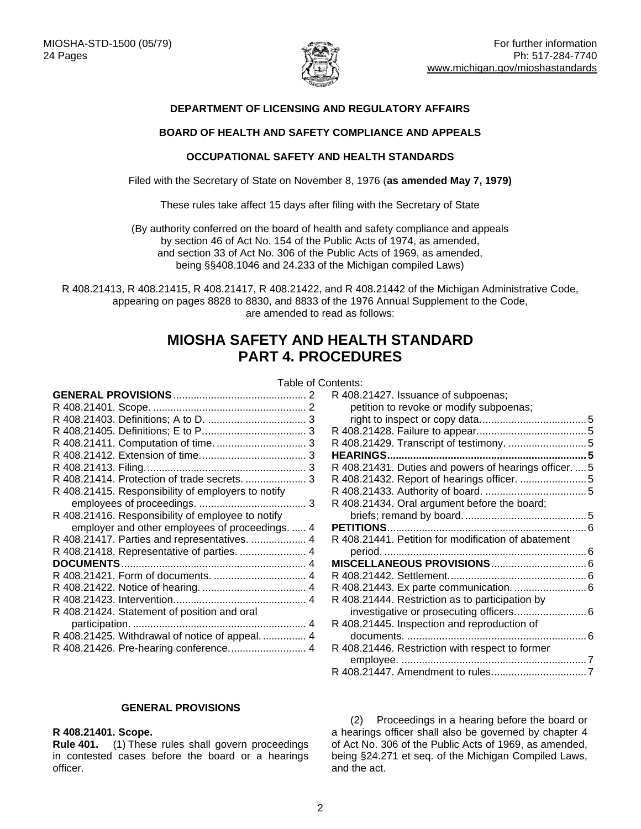

#### **DEPARTMENT OF LICENSING AND REGULATORY AFFAIRS**

#### **BOARD OF HEALTH AND SAFETY COMPLIANCE AND APPEALS**

#### **OCCUPATIONAL SAFETY AND HEALTH STANDARDS**

Filed with the Secretary of State on November 8, 1976 (**as amended May 7, 1979)**

These rules take affect 15 days after filing with the Secretary of State

(By authority conferred on the board of health and safety compliance and appeals by section 46 of Act No. 154 of the Public Acts of 1974, as amended, and section 33 of Act No. 306 of the Public Acts of 1969, as amended, being §§408.1046 and 24.233 of the Michigan compiled Laws)

<span id="page-1-0"></span>R 408.21413, R 408.21415, R 408.21417, R 408.21422, and R 408.21442 of the Michigan Administrative Code, appearing on pages 8828 to 8830, and 8833 of the 1976 Annual Supplement to the Code, are amended to read as follows:

## **MIOSHA SAFETY AND HEALTH STANDARD PART 4. PROCEDURES**

#### **GENERAL PROVISIONS**[..............................................](#page-1-1) 2

Table of Contents: R [408.21427. Issuance of subpoenas;](#page-4-0) 

| R 408.21414. Protection of trade secrets.  3       |
|----------------------------------------------------|
| R 408.21415. Responsibility of employers to notify |
|                                                    |
| R 408.21416. Responsibility of employee to notify  |
| employer and other employees of proceedings.  4    |
|                                                    |
| R 408.21418. Representative of parties.  4         |
|                                                    |
|                                                    |
|                                                    |
|                                                    |
| R 408.21424. Statement of position and oral        |
|                                                    |
|                                                    |
| R 408.21426. Pre-hearing conference 4              |
|                                                    |

#### R [408.21429. Transcript of testimony.](#page-4-2) ...........................5 **[HEARINGS.....................................................................5](#page-4-3)** R [408.21431. Duties and powers of hearings officer.](#page-4-4) ....5 R [408.21432. Report of hearings](#page-4-5) officer. .......................5 R [408.21433. Authority of board.](#page-4-6) ...................................5 R [408.21434. Oral argument before the board;](#page-4-7)  [briefs; remand by board...........................................5](#page-4-7) **PETITIONS**[.....................................................................6](#page-4-8) R [408.21441. Petition for modification of abatement](#page-5-0)  period. [......................................................................6](#page-5-0) **[MISCELLANEOUS PROVISIONS](#page-5-1)**.................................6 R [408.21442. Settlement................................................6](#page-5-2) R [408.21443. Ex parte communication.](#page-5-3) .........................6 R [408.21444. Restriction as to participation by](#page-5-4)  [investigative or prosecuting officers.........................6](#page-5-4) R [408.21445. Inspection and reproduction of](#page-5-5)  documents. [..............................................................6](#page-5-5) R [408.21446. Restriction with respect to former](#page-5-6)  employee. [................................................................7](#page-5-6)

[petition to revoke or modify subpoenas;](#page-4-0) 

[right to inspect or copy data.....................................5](#page-4-0) R [408.21428. Failure to appear......................................5](#page-4-1)

#### **GENERAL PROVISIONS**

#### <span id="page-1-2"></span><span id="page-1-1"></span>**R 408.21401. Scope.**

**Rule 401.** (1) These rules shall govern proceedings in contested cases before the board or a hearings officer.

(2) Proceedings in a hearing before the board or a hearings officer shall also be governed by chapter 4 of Act No. 306 of the Public Acts of 1969, as amended, being §24.271 et seq. of the Michigan Compiled Laws, and the act.

R [408.21447. Amendment to rules.................................7](#page-6-0)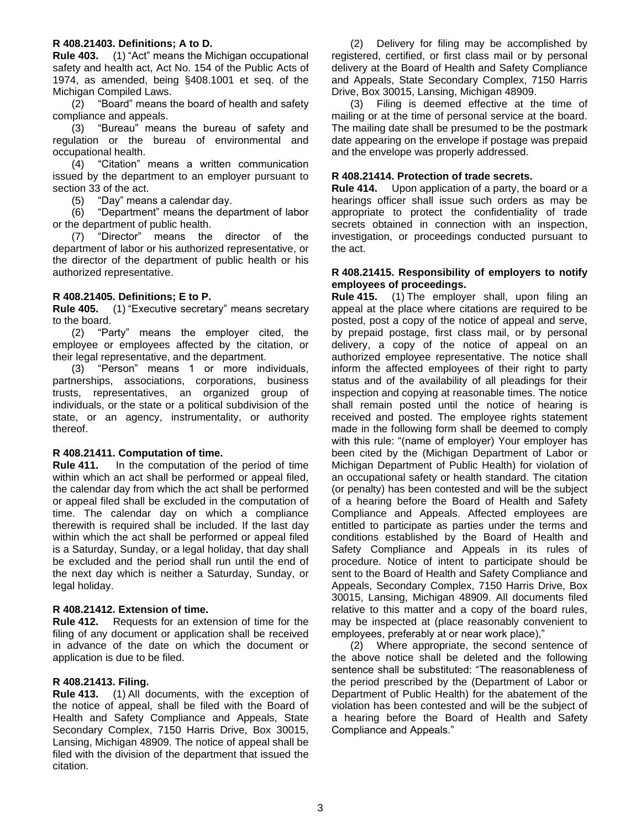#### <span id="page-2-0"></span>**R 408.21403. Definitions; A to D.**

**Rule 403.** (1) "Act" means the Michigan occupational safety and health act, Act No. 154 of the Public Acts of 1974, as amended, being §408.1001 et seq. of the Michigan Compiled Laws.

(2) "Board" means the board of health and safety compliance and appeals.

(3) "Bureau" means the bureau of safety and regulation or the bureau of environmental and occupational health.

(4) "Citation" means a written communication issued by the department to an employer pursuant to section 33 of the act.

(5) "Day" means a calendar day.

(6) "Department" means the department of labor or the department of public health.

(7) "Director" means the director of the department of labor or his authorized representative, or the director of the department of public health or his authorized representative.

#### <span id="page-2-1"></span>**R 408.21405. Definitions; E to P.**

**Rule 405.** (1) "Executive secretary" means secretary to the board.

(2) "Party" means the employer cited, the employee or employees affected by the citation, or their legal representative, and the department.

(3) "Person" means 1 or more individuals, partnerships, associations, corporations, business trusts, representatives, an organized group of individuals, or the state or a political subdivision of the state, or an agency, instrumentality, or authority thereof.

#### <span id="page-2-2"></span>**R 408.21411. Computation of time.**

**Rule 411.** In the computation of the period of time within which an act shall be performed or appeal filed, the calendar day from which the act shall be performed or appeal filed shall be excluded in the computation of time. The calendar day on which a compliance therewith is required shall be included. If the last day within which the act shall be performed or appeal filed is a Saturday, Sunday, or a legal holiday, that day shall be excluded and the period shall run until the end of the next day which is neither a Saturday, Sunday, or legal holiday.

#### <span id="page-2-3"></span>**R 408.21412. Extension of time.**

**Rule 412.** Requests for an extension of time for the filing of any document or application shall be received in advance of the date on which the document or application is due to be filed.

#### <span id="page-2-4"></span>**R 408.21413. Filing.**

**Rule 413.** (1) All documents, with the exception of the notice of appeal, shall be filed with the Board of Health and Safety Compliance and Appeals, State Secondary Complex, 7150 Harris Drive, Box 30015, Lansing, Michigan 48909. The notice of appeal shall be filed with the division of the department that issued the citation.

(2) Delivery for filing may be accomplished by registered, certified, or first class mail or by personal delivery at the Board of Health and Safety Compliance and Appeals, State Secondary Complex, 7150 Harris Drive, Box 30015, Lansing, Michigan 48909.

(3) Filing is deemed effective at the time of mailing or at the time of personal service at the board. The mailing date shall be presumed to be the postmark date appearing on the envelope if postage was prepaid and the envelope was properly addressed.

#### <span id="page-2-5"></span>**R 408.21414. Protection of trade secrets.**

**Rule 414.** Upon application of a party, the board or a hearings officer shall issue such orders as may be appropriate to protect the confidentiality of trade secrets obtained in connection with an inspection, investigation, or proceedings conducted pursuant to the act.

#### <span id="page-2-6"></span>**R 408.21415. Responsibility of employers to notify employees of proceedings.**

**Rule 415.** (1) The employer shall, upon filing an appeal at the place where citations are required to be posted, post a copy of the notice of appeal and serve, by prepaid postage, first class mail, or by personal delivery, a copy of the notice of appeal on an authorized employee representative. The notice shall inform the affected employees of their right to party status and of the availability of all pleadings for their inspection and copying at reasonable times. The notice shall remain posted until the notice of hearing is received and posted. The employee rights statement made in the following form shall be deemed to comply with this rule: "(name of employer) Your employer has been cited by the (Michigan Department of Labor or Michigan Department of Public Health) for violation of an occupational safety or health standard. The citation (or penalty) has been contested and will be the subject of a hearing before the Board of Health and Safety Compliance and Appeals. Affected employees are entitled to participate as parties under the terms and conditions established by the Board of Health and Safety Compliance and Appeals in its rules of procedure. Notice of intent to participate should be sent to the Board of Health and Safety Compliance and Appeals, Secondary Complex, 7150 Harris Drive, Box 30015, Lansing, Michigan 48909. All documents filed relative to this matter and a copy of the board rules, may be inspected at (place reasonably convenient to employees, preferably at or near work place),"

<span id="page-2-7"></span>(2) Where appropriate, the second sentence of the above notice shall be deleted and the following sentence shall be substituted: "The reasonableness of the period prescribed by the (Department of Labor or Department of Public Health) for the abatement of the violation has been contested and will be the subject of a hearing before the Board of Health and Safety Compliance and Appeals."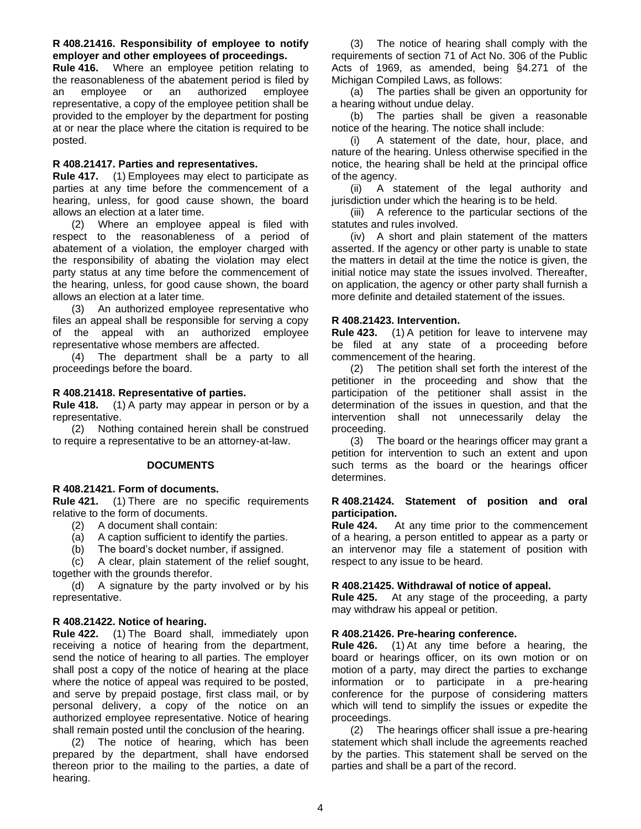#### **R 408.21416. Responsibility of employee to notify employer and other employees of proceedings.**

**Rule 416.** Where an employee petition relating to the reasonableness of the abatement period is filed by an employee or an authorized employee representative, a copy of the employee petition shall be provided to the employer by the department for posting at or near the place where the citation is required to be posted.

#### <span id="page-3-0"></span>**R 408.21417. Parties and representatives.**

**Rule 417.** (1) Employees may elect to participate as parties at any time before the commencement of a hearing, unless, for good cause shown, the board allows an election at a later time.

(2) Where an employee appeal is filed with respect to the reasonableness of a period of abatement of a violation, the employer charged with the responsibility of abating the violation may elect party status at any time before the commencement of the hearing, unless, for good cause shown, the board allows an election at a later time.

(3) An authorized employee representative who files an appeal shall be responsible for serving a copy of the appeal with an authorized employee representative whose members are affected.

(4) The department shall be a party to all proceedings before the board.

#### <span id="page-3-1"></span>**R 408.21418. Representative of parties.**

**Rule 418.** (1) A party may appear in person or by a representative.

(2) Nothing contained herein shall be construed to require a representative to be an attorney-at-law.

#### **DOCUMENTS**

#### <span id="page-3-3"></span><span id="page-3-2"></span>**R 408.21421. Form of documents.**

**Rule 421.** (1) There are no specific requirements relative to the form of documents.

- (2) A document shall contain:
- (a) A caption sufficient to identify the parties.
- (b) The board's docket number, if assigned.

(c) A clear, plain statement of the relief sought, together with the grounds therefor.

(d) A signature by the party involved or by his representative.

#### <span id="page-3-4"></span>**R 408.21422. Notice of hearing.**

**Rule 422.** (1) The Board shall, immediately upon receiving a notice of hearing from the department, send the notice of hearing to all parties. The employer shall post a copy of the notice of hearing at the place where the notice of appeal was required to be posted, and serve by prepaid postage, first class mail, or by personal delivery, a copy of the notice on an authorized employee representative. Notice of hearing shall remain posted until the conclusion of the hearing.

(2) The notice of hearing, which has been prepared by the department, shall have endorsed thereon prior to the mailing to the parties, a date of hearing.

(3) The notice of hearing shall comply with the requirements of section 71 of Act No. 306 of the Public Acts of 1969, as amended, being §4.271 of the Michigan Compiled Laws, as follows:

(a) The parties shall be given an opportunity for a hearing without undue delay.

(b) The parties shall be given a reasonable notice of the hearing. The notice shall include:

(i) A statement of the date, hour, place, and nature of the hearing. Unless otherwise specified in the notice, the hearing shall be held at the principal office of the agency.

(ii) A statement of the legal authority and jurisdiction under which the hearing is to be held.

(iii) A reference to the particular sections of the statutes and rules involved.

(iv) A short and plain statement of the matters asserted. If the agency or other party is unable to state the matters in detail at the time the notice is given, the initial notice may state the issues involved. Thereafter, on application, the agency or other party shall furnish a more definite and detailed statement of the issues.

#### <span id="page-3-5"></span>**R 408.21423. Intervention.**

**Rule 423.** (1) A petition for leave to intervene may be filed at any state of a proceeding before commencement of the hearing.

(2) The petition shall set forth the interest of the petitioner in the proceeding and show that the participation of the petitioner shall assist in the determination of the issues in question, and that the intervention shall not unnecessarily delay the proceeding.

(3) The board or the hearings officer may grant a petition for intervention to such an extent and upon such terms as the board or the hearings officer determines.

#### <span id="page-3-6"></span>**R 408.21424. Statement of position and oral participation.**

**Rule 424.** At any time prior to the commencement of a hearing, a person entitled to appear as a party or an intervenor may file a statement of position with respect to any issue to be heard.

#### <span id="page-3-7"></span>**R 408.21425. Withdrawal of notice of appeal.**

**Rule 425.** At any stage of the proceeding, a party may withdraw his appeal or petition.

#### <span id="page-3-8"></span>**R 408.21426. Pre-hearing conference.**

**Rule 426.** (1) At any time before a hearing, the board or hearings officer, on its own motion or on motion of a party, may direct the parties to exchange information or to participate in a pre-hearing conference for the purpose of considering matters which will tend to simplify the issues or expedite the proceedings.

(2) The hearings officer shall issue a pre-hearing statement which shall include the agreements reached by the parties. This statement shall be served on the parties and shall be a part of the record.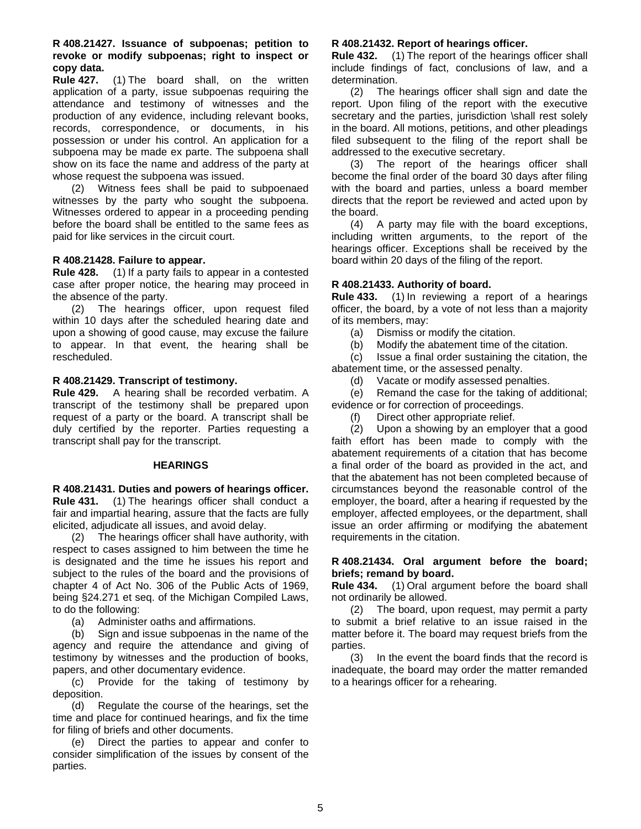#### <span id="page-4-0"></span>**R 408.21427. Issuance of subpoenas; petition to revoke or modify subpoenas; right to inspect or copy data.**

**Rule 427.** (1) The board shall, on the written application of a party, issue subpoenas requiring the attendance and testimony of witnesses and the production of any evidence, including relevant books, records, correspondence, or documents, in his possession or under his control. An application for a subpoena may be made ex parte. The subpoena shall show on its face the name and address of the party at whose request the subpoena was issued.

(2) Witness fees shall be paid to subpoenaed witnesses by the party who sought the subpoena. Witnesses ordered to appear in a proceeding pending before the board shall be entitled to the same fees as paid for like services in the circuit court.

#### <span id="page-4-1"></span>**R 408.21428. Failure to appear.**

**Rule 428.** (1) If a party fails to appear in a contested case after proper notice, the hearing may proceed in the absence of the party.

(2) The hearings officer, upon request filed within 10 days after the scheduled hearing date and upon a showing of good cause, may excuse the failure to appear. In that event, the hearing shall be rescheduled.

#### <span id="page-4-2"></span>**R 408.21429. Transcript of testimony.**

**Rule 429.** A hearing shall be recorded verbatim. A transcript of the testimony shall be prepared upon request of a party or the board. A transcript shall be duly certified by the reporter. Parties requesting a transcript shall pay for the transcript.

#### **HEARINGS**

<span id="page-4-4"></span><span id="page-4-3"></span>**R 408.21431. Duties and powers of hearings officer. Rule 431.** (1) The hearings officer shall conduct a fair and impartial hearing, assure that the facts are fully elicited, adjudicate all issues, and avoid delay.

(2) The hearings officer shall have authority, with respect to cases assigned to him between the time he is designated and the time he issues his report and subject to the rules of the board and the provisions of chapter 4 of Act No. 306 of the Public Acts of 1969, being §24.271 et seq. of the Michigan Compiled Laws, to do the following:

(a) Administer oaths and affirmations.

(b) Sign and issue subpoenas in the name of the agency and require the attendance and giving of testimony by witnesses and the production of books, papers, and other documentary evidence.

(c) Provide for the taking of testimony by deposition.

(d) Regulate the course of the hearings, set the time and place for continued hearings, and fix the time for filing of briefs and other documents.

(e) Direct the parties to appear and confer to consider simplification of the issues by consent of the parties.

#### <span id="page-4-5"></span>**R 408.21432. Report of hearings officer.**

**Rule 432.** (1) The report of the hearings officer shall include findings of fact, conclusions of law, and a determination.

(2) The hearings officer shall sign and date the report. Upon filing of the report with the executive secretary and the parties, jurisdiction \shall rest solely in the board. All motions, petitions, and other pleadings filed subsequent to the filing of the report shall be addressed to the executive secretary.

(3) The report of the hearings officer shall become the final order of the board 30 days after filing with the board and parties, unless a board member directs that the report be reviewed and acted upon by the board.

(4) A party may file with the board exceptions, including written arguments, to the report of the hearings officer. Exceptions shall be received by the board within 20 days of the filing of the report.

#### <span id="page-4-6"></span>**R 408.21433. Authority of board.**

**Rule 433.** (1) In reviewing a report of a hearings officer, the board, by a vote of not less than a majority of its members, may:

(a) Dismiss or modify the citation.

(b) Modify the abatement time of the citation.

(c) Issue a final order sustaining the citation, the abatement time, or the assessed penalty.

(d) Vacate or modify assessed penalties.

(e) Remand the case for the taking of additional; evidence or for correction of proceedings.

(f) Direct other appropriate relief.

(2) Upon a showing by an employer that a good faith effort has been made to comply with the abatement requirements of a citation that has become a final order of the board as provided in the act, and that the abatement has not been completed because of circumstances beyond the reasonable control of the employer, the board, after a hearing if requested by the employer, affected employees, or the department, shall issue an order affirming or modifying the abatement requirements in the citation.

#### <span id="page-4-7"></span>**R 408.21434. Oral argument before the board; briefs; remand by board.**

**Rule 434.** (1) Oral argument before the board shall not ordinarily be allowed.

(2) The board, upon request, may permit a party to submit a brief relative to an issue raised in the matter before it. The board may request briefs from the parties.

<span id="page-4-8"></span>(3) In the event the board finds that the record is inadequate, the board may order the matter remanded to a hearings officer for a rehearing.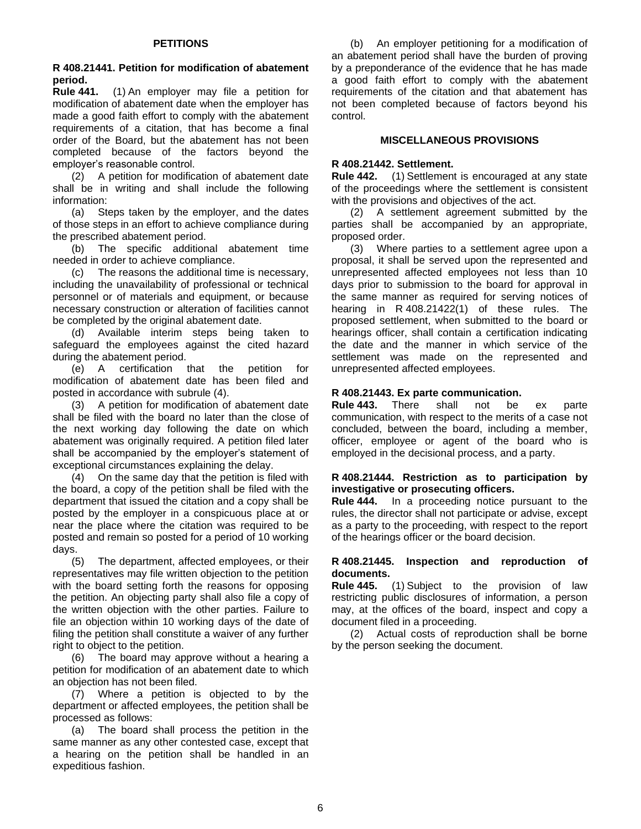<span id="page-5-0"></span>**R 408.21441. Petition for modification of abatement period.**

**Rule 441.** (1) An employer may file a petition for modification of abatement date when the employer has made a good faith effort to comply with the abatement requirements of a citation, that has become a final order of the Board, but the abatement has not been completed because of the factors beyond the employer's reasonable control.

(2) A petition for modification of abatement date shall be in writing and shall include the following information:

(a) Steps taken by the employer, and the dates of those steps in an effort to achieve compliance during the prescribed abatement period.

(b) The specific additional abatement time needed in order to achieve compliance.

(c) The reasons the additional time is necessary, including the unavailability of professional or technical personnel or of materials and equipment, or because necessary construction or alteration of facilities cannot be completed by the original abatement date.

(d) Available interim steps being taken to safeguard the employees against the cited hazard during the abatement period.

(e) A certification that the petition for modification of abatement date has been filed and posted in accordance with subrule (4).

(3) A petition for modification of abatement date shall be filed with the board no later than the close of the next working day following the date on which abatement was originally required. A petition filed later shall be accompanied by the employer's statement of exceptional circumstances explaining the delay.

(4) On the same day that the petition is filed with the board, a copy of the petition shall be filed with the department that issued the citation and a copy shall be posted by the employer in a conspicuous place at or near the place where the citation was required to be posted and remain so posted for a period of 10 working days.

(5) The department, affected employees, or their representatives may file written objection to the petition with the board setting forth the reasons for opposing the petition. An objecting party shall also file a copy of the written objection with the other parties. Failure to file an objection within 10 working days of the date of filing the petition shall constitute a waiver of any further right to object to the petition.

(6) The board may approve without a hearing a petition for modification of an abatement date to which an objection has not been filed.

(7) Where a petition is objected to by the department or affected employees, the petition shall be processed as follows:

(a) The board shall process the petition in the same manner as any other contested case, except that a hearing on the petition shall be handled in an expeditious fashion.

(b) An employer petitioning for a modification of an abatement period shall have the burden of proving by a preponderance of the evidence that he has made a good faith effort to comply with the abatement requirements of the citation and that abatement has not been completed because of factors beyond his control.

#### **MISCELLANEOUS PROVISIONS**

#### <span id="page-5-2"></span><span id="page-5-1"></span>**R 408.21442. Settlement.**

**Rule 442.** (1) Settlement is encouraged at any state of the proceedings where the settlement is consistent with the provisions and objectives of the act.

(2) A settlement agreement submitted by the parties shall be accompanied by an appropriate, proposed order.

(3) Where parties to a settlement agree upon a proposal, it shall be served upon the represented and unrepresented affected employees not less than 10 days prior to submission to the board for approval in the same manner as required for serving notices of hearing in R 408.21422(1) of these rules. The proposed settlement, when submitted to the board or hearings officer, shall contain a certification indicating the date and the manner in which service of the settlement was made on the represented and unrepresented affected employees.

#### <span id="page-5-3"></span>**R 408.21443. Ex parte communication.**

**Rule 443.** There shall not be ex parte communication, with respect to the merits of a case not concluded, between the board, including a member, officer, employee or agent of the board who is employed in the decisional process, and a party.

#### <span id="page-5-4"></span>**R 408.21444. Restriction as to participation by investigative or prosecuting officers.**

**Rule 444.** In a proceeding notice pursuant to the rules, the director shall not participate or advise, except as a party to the proceeding, with respect to the report of the hearings officer or the board decision.

#### <span id="page-5-5"></span>**R 408.21445. Inspection and reproduction of documents.**

**Rule 445.** (1) Subject to the provision of law restricting public disclosures of information, a person may, at the offices of the board, inspect and copy a document filed in a proceeding.

<span id="page-5-6"></span>(2) Actual costs of reproduction shall be borne by the person seeking the document.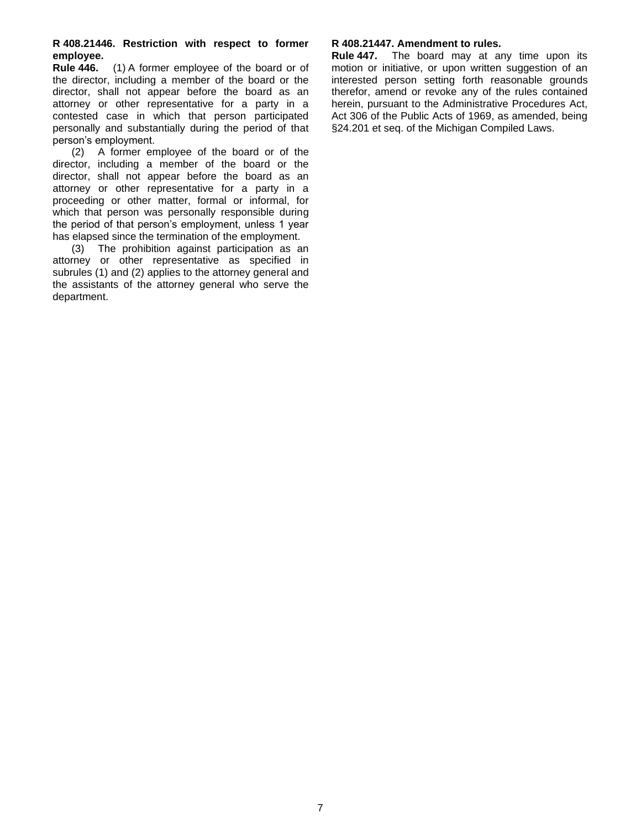#### **R 408.21446. Restriction with respect to former employee.**

**Rule 446.** (1) A former employee of the board or of the director, including a member of the board or the director, shall not appear before the board as an attorney or other representative for a party in a contested case in which that person participated personally and substantially during the period of that person's employment.

(2) A former employee of the board or of the director, including a member of the board or the director, shall not appear before the board as an attorney or other representative for a party in a proceeding or other matter, formal or informal, for which that person was personally responsible during the period of that person's employment, unless 1 year has elapsed since the termination of the employment.

(3) The prohibition against participation as an attorney or other representative as specified in subrules (1) and (2) applies to the attorney general and the assistants of the attorney general who serve the department.

#### <span id="page-6-0"></span>**R 408.21447. Amendment to rules.**

**Rule 447.** The board may at any time upon its motion or initiative, or upon written suggestion of an interested person setting forth reasonable grounds therefor, amend or revoke any of the rules contained herein, pursuant to the Administrative Procedures Act, Act 306 of the Public Acts of 1969, as amended, being §24.201 et seq. of the Michigan Compiled Laws.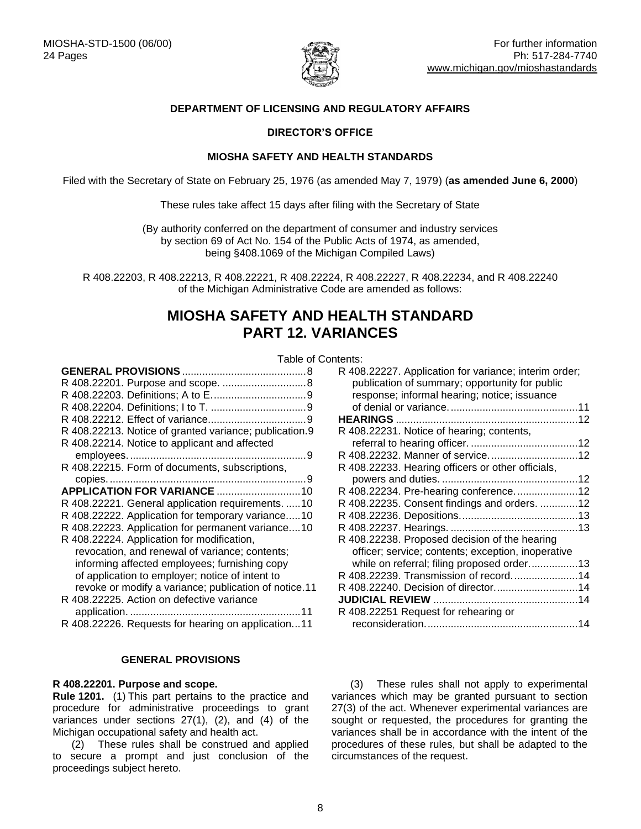

#### **DEPARTMENT OF LICENSING AND REGULATORY AFFAIRS**

#### **DIRECTOR'S OFFICE**

#### **MIOSHA SAFETY AND HEALTH STANDARDS**

Filed with the Secretary of State on February 25, 1976 (as amended May 7, 1979) (**as amended June 6, 2000**)

These rules take affect 15 days after filing with the Secretary of State

(By authority conferred on the department of consumer and industry services by section 69 of Act No. 154 of the Public Acts of 1974, as amended, being §408.1069 of the Michigan Compiled Laws)

R 408.22203, R 408.22213, R 408.22221, R 408.22224, R 408.22227, R 408.22234, and R 408.22240 of the Michigan Administrative Code are amended as follows:

## **MIOSHA SAFETY AND HEALTH STANDARD PART 12. VARIANCES**

<span id="page-7-0"></span>

|                                                        | Table of |
|--------------------------------------------------------|----------|
|                                                        |          |
|                                                        |          |
|                                                        |          |
|                                                        |          |
|                                                        |          |
| R 408.22213. Notice of granted variance; publication.9 |          |
| R 408.22214. Notice to applicant and affected          |          |
|                                                        |          |
| R 408.22215. Form of documents, subscriptions,         |          |
|                                                        |          |
|                                                        |          |
| R 408.22221. General application requirements.  10     |          |
| R 408.22222. Application for temporary variance10      |          |
| R 408.22223. Application for permanent variance10      |          |
| R 408.22224. Application for modification,             |          |
| revocation, and renewal of variance; contents;         |          |
| informing affected employees; furnishing copy          |          |
| of application to employer; notice of intent to        |          |
| revoke or modify a variance; publication of notice.11  |          |
| R 408.22225. Action on defective variance              |          |
| R 408.22226. Requests for hearing on application11     |          |

#### **GENERAL PROVISIONS**

#### <span id="page-7-2"></span><span id="page-7-1"></span>**R 408.22201. Purpose and scope.**

**Rule 1201.** (1) This part pertains to the practice and procedure for administrative proceedings to grant variances under sections 27(1), (2), and (4) of the Michigan occupational safety and health act.

(2) These rules shall be construed and applied to secure a prompt and just conclusion of the proceedings subject hereto.

| Contents:                                                                                               |  |
|---------------------------------------------------------------------------------------------------------|--|
| R 408.22227. Application for variance; interim order;<br>publication of summary; opportunity for public |  |
| response; informal hearing; notice; issuance                                                            |  |
|                                                                                                         |  |
|                                                                                                         |  |
| R 408.22231. Notice of hearing; contents,                                                               |  |
| R 408.22232. Manner of service12                                                                        |  |
| R 408.22233. Hearing officers or other officials,                                                       |  |
|                                                                                                         |  |
| R 408.22234. Pre-hearing conference12                                                                   |  |
| R 408.22235. Consent findings and orders. 12                                                            |  |
|                                                                                                         |  |
|                                                                                                         |  |
| R 408.22238. Proposed decision of the hearing                                                           |  |
| officer; service; contents; exception, inoperative                                                      |  |
| while on referral; filing proposed order13                                                              |  |
| R 408.22239. Transmission of record. 14                                                                 |  |
| R 408.22240. Decision of director14                                                                     |  |
|                                                                                                         |  |
| R 408.22251 Request for rehearing or                                                                    |  |
|                                                                                                         |  |
|                                                                                                         |  |

(3) These rules shall not apply to experimental variances which may be granted pursuant to section 27(3) of the act. Whenever experimental variances are sought or requested, the procedures for granting the variances shall be in accordance with the intent of the procedures of these rules, but shall be adapted to the circumstances of the request.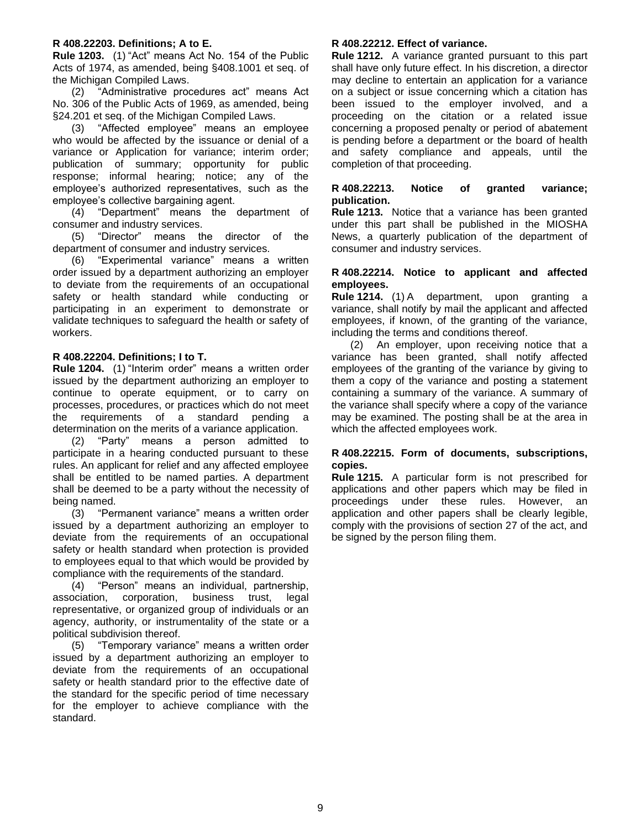#### <span id="page-8-0"></span>**R 408.22203. Definitions; A to E.**

**Rule 1203.** (1) "Act" means Act No. 154 of the Public Acts of 1974, as amended, being §408.1001 et seq. of the Michigan Compiled Laws.

(2) "Administrative procedures act" means Act No. 306 of the Public Acts of 1969, as amended, being §24.201 et seq. of the Michigan Compiled Laws.

(3) "Affected employee" means an employee who would be affected by the issuance or denial of a variance or Application for variance; interim order; publication of summary; opportunity for public response; informal hearing; notice; any of the employee's authorized representatives, such as the employee's collective bargaining agent.

(4) "Department" means the department of consumer and industry services.

(5) "Director" means the director of the department of consumer and industry services.

(6) "Experimental variance" means a written order issued by a department authorizing an employer to deviate from the requirements of an occupational safety or health standard while conducting or participating in an experiment to demonstrate or validate techniques to safeguard the health or safety of workers.

#### <span id="page-8-1"></span>**R 408.22204. Definitions; I to T.**

**Rule 1204.** (1) "Interim order" means a written order issued by the department authorizing an employer to continue to operate equipment, or to carry on processes, procedures, or practices which do not meet the requirements of a standard pending a determination on the merits of a variance application.

(2) "Party" means a person admitted to participate in a hearing conducted pursuant to these rules. An applicant for relief and any affected employee shall be entitled to be named parties. A department shall be deemed to be a party without the necessity of being named.

(3) "Permanent variance" means a written order issued by a department authorizing an employer to deviate from the requirements of an occupational safety or health standard when protection is provided to employees equal to that which would be provided by compliance with the requirements of the standard.

(4) "Person" means an individual, partnership, association, corporation, business trust, legal representative, or organized group of individuals or an agency, authority, or instrumentality of the state or a political subdivision thereof.

(5) "Temporary variance" means a written order issued by a department authorizing an employer to deviate from the requirements of an occupational safety or health standard prior to the effective date of the standard for the specific period of time necessary for the employer to achieve compliance with the standard.

#### <span id="page-8-2"></span>**R 408.22212. Effect of variance.**

**Rule 1212.** A variance granted pursuant to this part shall have only future effect. In his discretion, a director may decline to entertain an application for a variance on a subject or issue concerning which a citation has been issued to the employer involved, and a proceeding on the citation or a related issue concerning a proposed penalty or period of abatement is pending before a department or the board of health and safety compliance and appeals, until the completion of that proceeding.

#### <span id="page-8-3"></span>**R 408.22213. Notice of granted variance; publication.**

**Rule 1213.** Notice that a variance has been granted under this part shall be published in the MIOSHA News, a quarterly publication of the department of consumer and industry services.

#### <span id="page-8-4"></span>**R 408.22214. Notice to applicant and affected employees.**

**Rule 1214.** (1) A department, upon granting a variance, shall notify by mail the applicant and affected employees, if known, of the granting of the variance, including the terms and conditions thereof.

(2) An employer, upon receiving notice that a variance has been granted, shall notify affected employees of the granting of the variance by giving to them a copy of the variance and posting a statement containing a summary of the variance. A summary of the variance shall specify where a copy of the variance may be examined. The posting shall be at the area in which the affected employees work.

#### <span id="page-8-5"></span>**R 408.22215. Form of documents, subscriptions, copies.**

**Rule 1215.** A particular form is not prescribed for applications and other papers which may be filed in proceedings under these rules. However, an application and other papers shall be clearly legible, comply with the provisions of section 27 of the act, and be signed by the person filing them.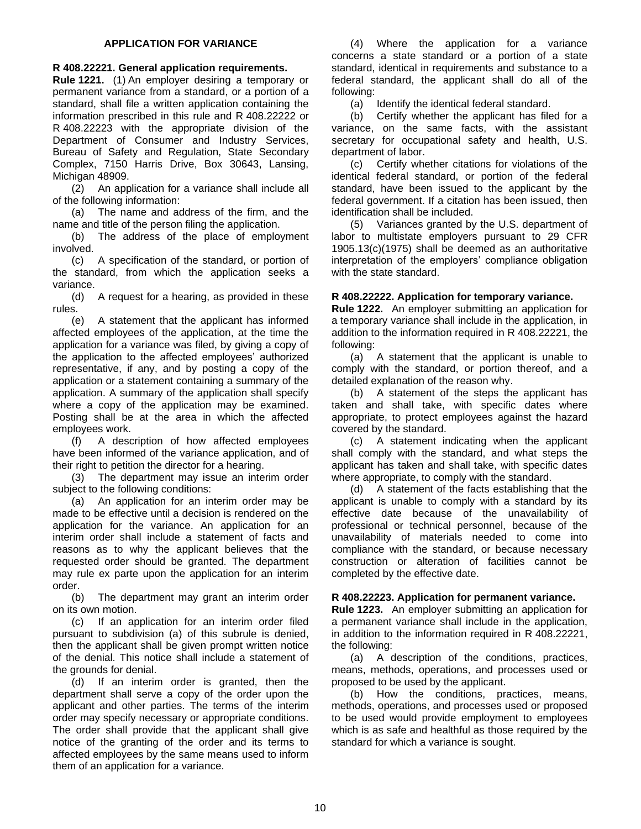#### **APPLICATION FOR VARIANCE**

#### <span id="page-9-1"></span><span id="page-9-0"></span>**R 408.22221. General application requirements.**

**Rule 1221.** (1) An employer desiring a temporary or permanent variance from a standard, or a portion of a standard, shall file a written application containing the information prescribed in this rule and R 408.22222 or R 408.22223 with the appropriate division of the Department of Consumer and Industry Services, Bureau of Safety and Regulation, State Secondary Complex, 7150 Harris Drive, Box 30643, Lansing, Michigan 48909.

(2) An application for a variance shall include all of the following information:

(a) The name and address of the firm, and the name and title of the person filing the application.

(b) The address of the place of employment involved.

(c) A specification of the standard, or portion of the standard, from which the application seeks a variance.

(d) A request for a hearing, as provided in these rules.

(e) A statement that the applicant has informed affected employees of the application, at the time the application for a variance was filed, by giving a copy of the application to the affected employees' authorized representative, if any, and by posting a copy of the application or a statement containing a summary of the application. A summary of the application shall specify where a copy of the application may be examined. Posting shall be at the area in which the affected employees work.

(f) A description of how affected employees have been informed of the variance application, and of their right to petition the director for a hearing.

(3) The department may issue an interim order subject to the following conditions:

(a) An application for an interim order may be made to be effective until a decision is rendered on the application for the variance. An application for an interim order shall include a statement of facts and reasons as to why the applicant believes that the requested order should be granted. The department may rule ex parte upon the application for an interim order.

(b) The department may grant an interim order on its own motion.

(c) If an application for an interim order filed pursuant to subdivision (a) of this subrule is denied, then the applicant shall be given prompt written notice of the denial. This notice shall include a statement of the grounds for denial.

(d) If an interim order is granted, then the department shall serve a copy of the order upon the applicant and other parties. The terms of the interim order may specify necessary or appropriate conditions. The order shall provide that the applicant shall give notice of the granting of the order and its terms to affected employees by the same means used to inform them of an application for a variance.

(4) Where the application for a variance concerns a state standard or a portion of a state standard, identical in requirements and substance to a federal standard, the applicant shall do all of the following:

(a) Identify the identical federal standard.

(b) Certify whether the applicant has filed for a variance, on the same facts, with the assistant secretary for occupational safety and health, U.S. department of labor.

(c) Certify whether citations for violations of the identical federal standard, or portion of the federal standard, have been issued to the applicant by the federal government. If a citation has been issued, then identification shall be included.

(5) Variances granted by the U.S. department of labor to multistate employers pursuant to 29 CFR 1905.13(c)(1975) shall be deemed as an authoritative interpretation of the employers' compliance obligation with the state standard.

#### <span id="page-9-2"></span>**R 408.22222. Application for temporary variance.**

**Rule 1222.** An employer submitting an application for a temporary variance shall include in the application, in addition to the information required in R 408.22221, the following:

(a) A statement that the applicant is unable to comply with the standard, or portion thereof, and a detailed explanation of the reason why.

(b) A statement of the steps the applicant has taken and shall take, with specific dates where appropriate, to protect employees against the hazard covered by the standard.

(c) A statement indicating when the applicant shall comply with the standard, and what steps the applicant has taken and shall take, with specific dates where appropriate, to comply with the standard.

(d) A statement of the facts establishing that the applicant is unable to comply with a standard by its effective date because of the unavailability of professional or technical personnel, because of the unavailability of materials needed to come into compliance with the standard, or because necessary construction or alteration of facilities cannot be completed by the effective date.

#### <span id="page-9-3"></span>**R 408.22223. Application for permanent variance.**

**Rule 1223.** An employer submitting an application for a permanent variance shall include in the application, in addition to the information required in R 408.22221, the following:

(a) A description of the conditions, practices, means, methods, operations, and processes used or proposed to be used by the applicant.

(b) How the conditions, practices, means, methods, operations, and processes used or proposed to be used would provide employment to employees which is as safe and healthful as those required by the standard for which a variance is sought.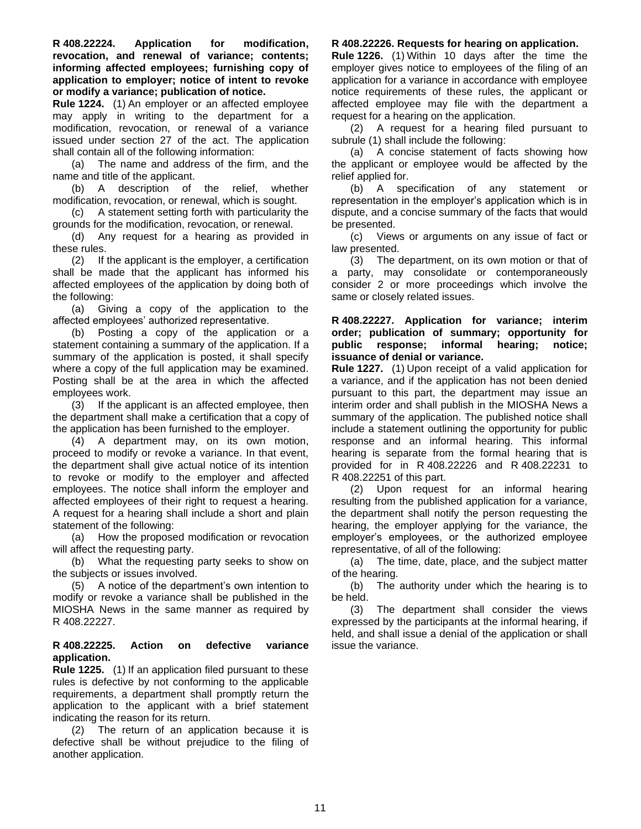<span id="page-10-0"></span>**R 408.22224. Application for modification, revocation, and renewal of variance; contents; informing affected employees; furnishing copy of application to employer; notice of intent to revoke or modify a variance; publication of notice.** 

**Rule 1224.** (1) An employer or an affected employee may apply in writing to the department for a modification, revocation, or renewal of a variance issued under section 27 of the act. The application shall contain all of the following information:

(a) The name and address of the firm, and the name and title of the applicant.

(b) A description of the relief, whether modification, revocation, or renewal, which is sought.

(c) A statement setting forth with particularity the grounds for the modification, revocation, or renewal.

(d) Any request for a hearing as provided in these rules.

(2) If the applicant is the employer, a certification shall be made that the applicant has informed his affected employees of the application by doing both of the following:

(a) Giving a copy of the application to the affected employees' authorized representative.

(b) Posting a copy of the application or a statement containing a summary of the application. If a summary of the application is posted, it shall specify where a copy of the full application may be examined. Posting shall be at the area in which the affected employees work.

(3) If the applicant is an affected employee, then the department shall make a certification that a copy of the application has been furnished to the employer.

(4) A department may, on its own motion, proceed to modify or revoke a variance. In that event, the department shall give actual notice of its intention to revoke or modify to the employer and affected employees. The notice shall inform the employer and affected employees of their right to request a hearing. A request for a hearing shall include a short and plain statement of the following:

(a) How the proposed modification or revocation will affect the requesting party.

(b) What the requesting party seeks to show on the subjects or issues involved.

(5) A notice of the department's own intention to modify or revoke a variance shall be published in the MIOSHA News in the same manner as required by R 408.22227.

#### <span id="page-10-1"></span>**R 408.22225. Action on defective variance application.**

**Rule 1225.** (1) If an application filed pursuant to these rules is defective by not conforming to the applicable requirements, a department shall promptly return the application to the applicant with a brief statement indicating the reason for its return.

(2) The return of an application because it is defective shall be without prejudice to the filing of another application.

#### <span id="page-10-2"></span>**R 408.22226. Requests for hearing on application.**

**Rule 1226.** (1) Within 10 days after the time the employer gives notice to employees of the filing of an application for a variance in accordance with employee notice requirements of these rules, the applicant or affected employee may file with the department a request for a hearing on the application.

(2) A request for a hearing filed pursuant to subrule (1) shall include the following:

(a) A concise statement of facts showing how the applicant or employee would be affected by the relief applied for.

(b) A specification of any statement or representation in the employer's application which is in dispute, and a concise summary of the facts that would be presented.

(c) Views or arguments on any issue of fact or law presented.

(3) The department, on its own motion or that of a party, may consolidate or contemporaneously consider 2 or more proceedings which involve the same or closely related issues.

#### <span id="page-10-3"></span>**R 408.22227. Application for variance; interim order; publication of summary; opportunity for public response; informal hearing; notice; issuance of denial or variance.**

**Rule 1227.** (1) Upon receipt of a valid application for a variance, and if the application has not been denied pursuant to this part, the department may issue an interim order and shall publish in the MIOSHA News a summary of the application. The published notice shall include a statement outlining the opportunity for public response and an informal hearing. This informal hearing is separate from the formal hearing that is provided for in R 408.22226 and R 408.22231 to R 408.22251 of this part.

(2) Upon request for an informal hearing resulting from the published application for a variance, the department shall notify the person requesting the hearing, the employer applying for the variance, the employer's employees, or the authorized employee representative, of all of the following:

(a) The time, date, place, and the subject matter of the hearing.

(b) The authority under which the hearing is to be held.

(3) The department shall consider the views expressed by the participants at the informal hearing, if held, and shall issue a denial of the application or shall issue the variance.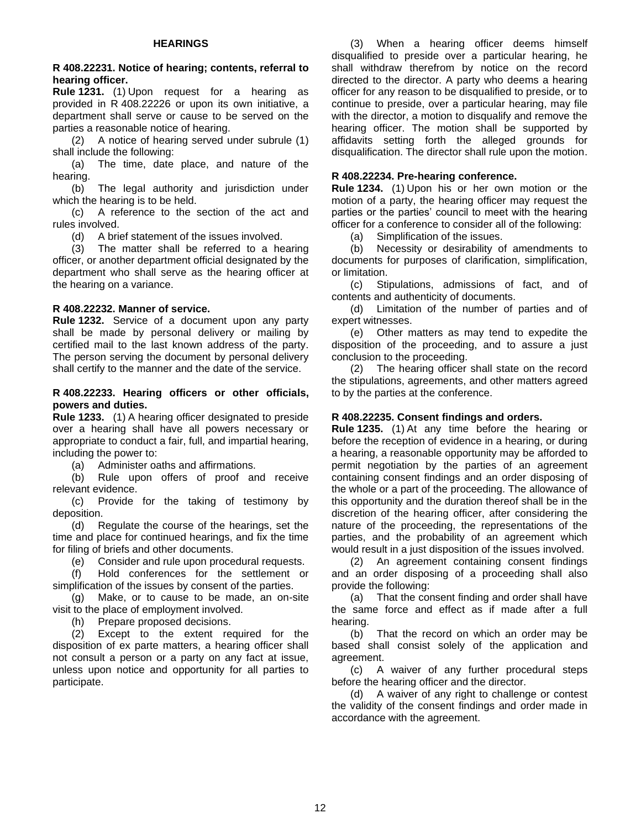#### **HEARINGS**

#### <span id="page-11-1"></span><span id="page-11-0"></span>**R 408.22231. Notice of hearing; contents, referral to hearing officer.**

**Rule 1231.** (1) Upon request for a hearing as provided in R 408.22226 or upon its own initiative, a department shall serve or cause to be served on the parties a reasonable notice of hearing.

(2) A notice of hearing served under subrule (1) shall include the following:

(a) The time, date place, and nature of the hearing.

(b) The legal authority and jurisdiction under which the hearing is to be held.

(c) A reference to the section of the act and rules involved.

(d) A brief statement of the issues involved.

(3) The matter shall be referred to a hearing officer, or another department official designated by the department who shall serve as the hearing officer at the hearing on a variance.

#### <span id="page-11-2"></span>**R 408.22232. Manner of service.**

**Rule 1232.** Service of a document upon any party shall be made by personal delivery or mailing by certified mail to the last known address of the party. The person serving the document by personal delivery shall certify to the manner and the date of the service.

#### <span id="page-11-3"></span>**R 408.22233. Hearing officers or other officials, powers and duties.**

**Rule 1233.** (1) A hearing officer designated to preside over a hearing shall have all powers necessary or appropriate to conduct a fair, full, and impartial hearing, including the power to:

(a) Administer oaths and affirmations.

(b) Rule upon offers of proof and receive relevant evidence.

(c) Provide for the taking of testimony by deposition.

(d) Regulate the course of the hearings, set the time and place for continued hearings, and fix the time for filing of briefs and other documents.

(e) Consider and rule upon procedural requests.

(f) Hold conferences for the settlement or simplification of the issues by consent of the parties.

(g) Make, or to cause to be made, an on-site visit to the place of employment involved.

(h) Prepare proposed decisions.

(2) Except to the extent required for the disposition of ex parte matters, a hearing officer shall not consult a person or a party on any fact at issue, unless upon notice and opportunity for all parties to participate.

(3) When a hearing officer deems himself disqualified to preside over a particular hearing, he shall withdraw therefrom by notice on the record directed to the director. A party who deems a hearing officer for any reason to be disqualified to preside, or to continue to preside, over a particular hearing, may file with the director, a motion to disqualify and remove the hearing officer. The motion shall be supported by affidavits setting forth the alleged grounds for disqualification. The director shall rule upon the motion.

#### <span id="page-11-4"></span>**R 408.22234. Pre-hearing conference.**

**Rule 1234.** (1) Upon his or her own motion or the motion of a party, the hearing officer may request the parties or the parties' council to meet with the hearing officer for a conference to consider all of the following:

(a) Simplification of the issues.

(b) Necessity or desirability of amendments to documents for purposes of clarification, simplification, or limitation.

(c) Stipulations, admissions of fact, and of contents and authenticity of documents.

(d) Limitation of the number of parties and of expert witnesses.

(e) Other matters as may tend to expedite the disposition of the proceeding, and to assure a just conclusion to the proceeding.

(2) The hearing officer shall state on the record the stipulations, agreements, and other matters agreed to by the parties at the conference.

#### <span id="page-11-5"></span>**R 408.22235. Consent findings and orders.**

**Rule 1235.** (1) At any time before the hearing or before the reception of evidence in a hearing, or during a hearing, a reasonable opportunity may be afforded to permit negotiation by the parties of an agreement containing consent findings and an order disposing of the whole or a part of the proceeding. The allowance of this opportunity and the duration thereof shall be in the discretion of the hearing officer, after considering the nature of the proceeding, the representations of the parties, and the probability of an agreement which would result in a just disposition of the issues involved.

(2) An agreement containing consent findings and an order disposing of a proceeding shall also provide the following:

(a) That the consent finding and order shall have the same force and effect as if made after a full hearing.

(b) That the record on which an order may be based shall consist solely of the application and agreement.

(c) A waiver of any further procedural steps before the hearing officer and the director.

(d) A waiver of any right to challenge or contest the validity of the consent findings and order made in accordance with the agreement.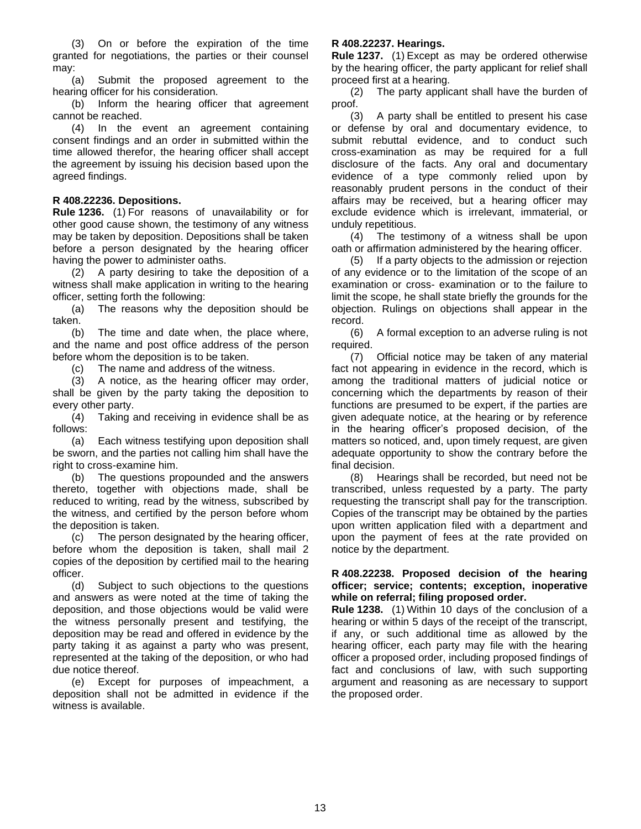(3) On or before the expiration of the time granted for negotiations, the parties or their counsel may:

(a) Submit the proposed agreement to the hearing officer for his consideration.

(b) Inform the hearing officer that agreement cannot be reached.

(4) In the event an agreement containing consent findings and an order in submitted within the time allowed therefor, the hearing officer shall accept the agreement by issuing his decision based upon the agreed findings.

#### <span id="page-12-0"></span>**R 408.22236. Depositions.**

**Rule 1236.** (1) For reasons of unavailability or for other good cause shown, the testimony of any witness may be taken by deposition. Depositions shall be taken before a person designated by the hearing officer having the power to administer oaths.

(2) A party desiring to take the deposition of a witness shall make application in writing to the hearing officer, setting forth the following:

(a) The reasons why the deposition should be taken.

(b) The time and date when, the place where, and the name and post office address of the person before whom the deposition is to be taken.

(c) The name and address of the witness.

(3) A notice, as the hearing officer may order, shall be given by the party taking the deposition to every other party.

(4) Taking and receiving in evidence shall be as follows:

(a) Each witness testifying upon deposition shall be sworn, and the parties not calling him shall have the right to cross-examine him.

(b) The questions propounded and the answers thereto, together with objections made, shall be reduced to writing, read by the witness, subscribed by the witness, and certified by the person before whom the deposition is taken.

(c) The person designated by the hearing officer, before whom the deposition is taken, shall mail 2 copies of the deposition by certified mail to the hearing officer.

(d) Subject to such objections to the questions and answers as were noted at the time of taking the deposition, and those objections would be valid were the witness personally present and testifying, the deposition may be read and offered in evidence by the party taking it as against a party who was present, represented at the taking of the deposition, or who had due notice thereof.

(e) Except for purposes of impeachment, a deposition shall not be admitted in evidence if the witness is available.

#### <span id="page-12-1"></span>**R 408.22237. Hearings.**

**Rule 1237.** (1) Except as may be ordered otherwise by the hearing officer, the party applicant for relief shall proceed first at a hearing.

(2) The party applicant shall have the burden of proof.

(3) A party shall be entitled to present his case or defense by oral and documentary evidence, to submit rebuttal evidence, and to conduct such cross-examination as may be required for a full disclosure of the facts. Any oral and documentary evidence of a type commonly relied upon by reasonably prudent persons in the conduct of their affairs may be received, but a hearing officer may exclude evidence which is irrelevant, immaterial, or unduly repetitious.

(4) The testimony of a witness shall be upon oath or affirmation administered by the hearing officer.

(5) If a party objects to the admission or rejection of any evidence or to the limitation of the scope of an examination or cross- examination or to the failure to limit the scope, he shall state briefly the grounds for the objection. Rulings on objections shall appear in the record.

(6) A formal exception to an adverse ruling is not required.

(7) Official notice may be taken of any material fact not appearing in evidence in the record, which is among the traditional matters of judicial notice or concerning which the departments by reason of their functions are presumed to be expert, if the parties are given adequate notice, at the hearing or by reference in the hearing officer's proposed decision, of the matters so noticed, and, upon timely request, are given adequate opportunity to show the contrary before the final decision.

(8) Hearings shall be recorded, but need not be transcribed, unless requested by a party. The party requesting the transcript shall pay for the transcription. Copies of the transcript may be obtained by the parties upon written application filed with a department and upon the payment of fees at the rate provided on notice by the department.

#### <span id="page-12-2"></span>**R 408.22238. Proposed decision of the hearing officer; service; contents; exception, inoperative while on referral; filing proposed order.**

**Rule 1238.** (1) Within 10 days of the conclusion of a hearing or within 5 days of the receipt of the transcript, if any, or such additional time as allowed by the hearing officer, each party may file with the hearing officer a proposed order, including proposed findings of fact and conclusions of law, with such supporting argument and reasoning as are necessary to support the proposed order.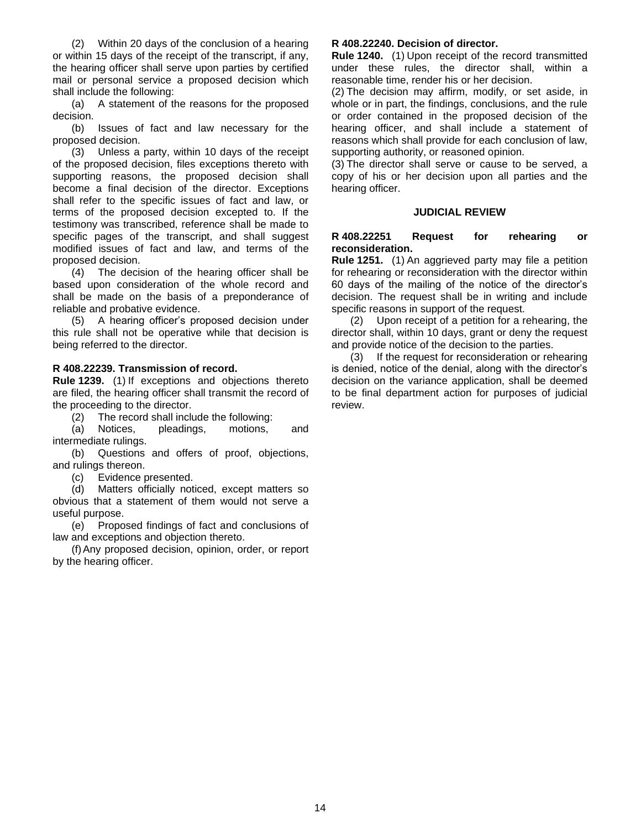(2) Within 20 days of the conclusion of a hearing or within 15 days of the receipt of the transcript, if any, the hearing officer shall serve upon parties by certified mail or personal service a proposed decision which shall include the following:

(a) A statement of the reasons for the proposed decision.

(b) Issues of fact and law necessary for the proposed decision.

(3) Unless a party, within 10 days of the receipt of the proposed decision, files exceptions thereto with supporting reasons, the proposed decision shall become a final decision of the director. Exceptions shall refer to the specific issues of fact and law, or terms of the proposed decision excepted to. If the testimony was transcribed, reference shall be made to specific pages of the transcript, and shall suggest modified issues of fact and law, and terms of the proposed decision.

(4) The decision of the hearing officer shall be based upon consideration of the whole record and shall be made on the basis of a preponderance of reliable and probative evidence.

(5) A hearing officer's proposed decision under this rule shall not be operative while that decision is being referred to the director.

#### <span id="page-13-0"></span>**R 408.22239. Transmission of record.**

**Rule 1239.** (1) If exceptions and objections thereto are filed, the hearing officer shall transmit the record of the proceeding to the director.

(2) The record shall include the following:

(a) Notices, pleadings, motions, and intermediate rulings.

(b) Questions and offers of proof, objections, and rulings thereon.

(c) Evidence presented.

(d) Matters officially noticed, except matters so obvious that a statement of them would not serve a useful purpose.

(e) Proposed findings of fact and conclusions of law and exceptions and objection thereto.

(f)Any proposed decision, opinion, order, or report by the hearing officer.

#### <span id="page-13-1"></span>**R 408.22240. Decision of director.**

**Rule 1240.** (1) Upon receipt of the record transmitted under these rules, the director shall, within a reasonable time, render his or her decision.

(2) The decision may affirm, modify, or set aside, in whole or in part, the findings, conclusions, and the rule or order contained in the proposed decision of the hearing officer, and shall include a statement of reasons which shall provide for each conclusion of law, supporting authority, or reasoned opinion.

(3) The director shall serve or cause to be served, a copy of his or her decision upon all parties and the hearing officer.

#### **JUDICIAL REVIEW**

#### <span id="page-13-3"></span><span id="page-13-2"></span>**R 408.22251 Request for rehearing or reconsideration.**

**Rule 1251.** (1) An aggrieved party may file a petition for rehearing or reconsideration with the director within 60 days of the mailing of the notice of the director's decision. The request shall be in writing and include specific reasons in support of the request.

(2) Upon receipt of a petition for a rehearing, the director shall, within 10 days, grant or deny the request and provide notice of the decision to the parties.

(3) If the request for reconsideration or rehearing is denied, notice of the denial, along with the director's decision on the variance application, shall be deemed to be final department action for purposes of judicial review.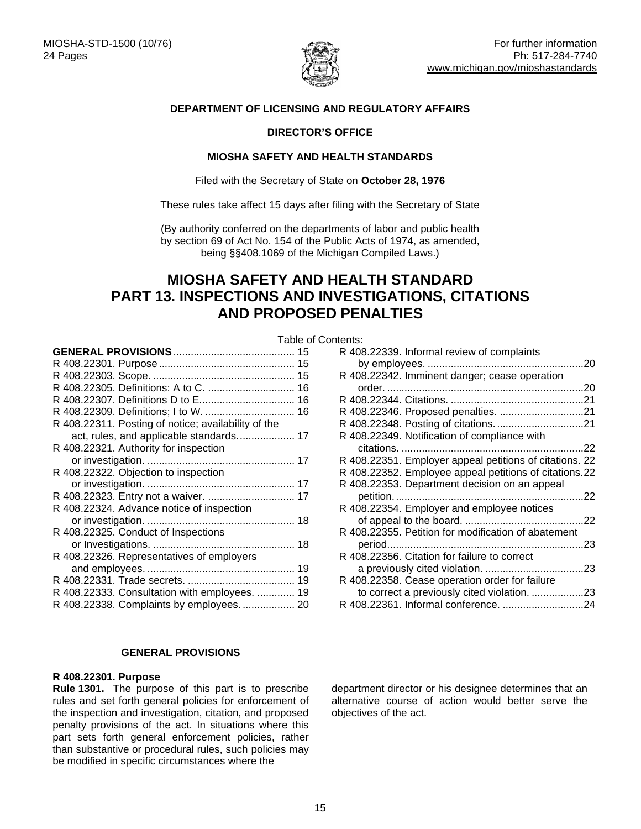

#### **DEPARTMENT OF LICENSING AND REGULATORY AFFAIRS**

#### **DIRECTOR'S OFFICE**

#### **MIOSHA SAFETY AND HEALTH STANDARDS**

Filed with the Secretary of State on **October 28, 1976**

These rules take affect 15 days after filing with the Secretary of State

(By authority conferred on the departments of labor and public health by section 69 of Act No. 154 of the Public Acts of 1974, as amended, being §§408.1069 of the Michigan Compiled Laws.)

## <span id="page-14-0"></span>**MIOSHA SAFETY AND HEALTH STANDARD PART 13. INSPECTIONS AND INVESTIGATIONS, CITATIONS AND PROPOSED PENALTIES**

<span id="page-14-1"></span>

|                                                     | Table of Contents: |       |
|-----------------------------------------------------|--------------------|-------|
|                                                     |                    | R 408 |
|                                                     |                    | b     |
|                                                     |                    | R 408 |
|                                                     |                    | Ο     |
|                                                     |                    | R 408 |
|                                                     |                    | R 408 |
| R 408.22311. Posting of notice; availability of the |                    | R 408 |
| act, rules, and applicable standards 17             |                    | R 408 |
| R 408.22321. Authority for inspection               |                    | C     |
|                                                     |                    | R 408 |
| R 408.22322. Objection to inspection                |                    | R 408 |
|                                                     |                    | R 408 |
|                                                     |                    | р     |
| R 408.22324. Advance notice of inspection           |                    | R 408 |
|                                                     |                    | Ο     |
| R 408.22325. Conduct of Inspections                 |                    | R 408 |
|                                                     |                    | р     |
| R 408.22326. Representatives of employers           |                    | R 408 |
|                                                     |                    | а     |
|                                                     |                    | R 408 |
| R 408.22333. Consultation with employees.  19       |                    | to    |
| R 408.22338. Complaints by employees.  20           |                    | R 408 |
|                                                     |                    |       |

#### **GENERAL PROVISIONS**

#### <span id="page-14-3"></span><span id="page-14-2"></span>**R 408.22301. Purpose**

**Rule 1301.** The purpose of this part is to prescribe rules and set forth general policies for enforcement of the inspection and investigation, citation, and proposed penalty provisions of the act. In situations where this part sets forth general enforcement policies, rather than substantive or procedural rules, such policies may be modified in specific circumstances where the

| . כוונס                                                 |
|---------------------------------------------------------|
| R 408.22339. Informal review of complaints              |
|                                                         |
| R 408.22342. Imminent danger; cease operation           |
|                                                         |
|                                                         |
|                                                         |
|                                                         |
| R 408.22349. Notification of compliance with            |
|                                                         |
| R 408.22351. Employer appeal petitions of citations. 22 |
| R 408.22352. Employee appeal petitions of citations.22  |
| R 408.22353. Department decision on an appeal           |
|                                                         |
| R 408.22354. Employer and employee notices              |
|                                                         |
| R 408.22355. Petition for modification of abatement     |
|                                                         |
| R 408.22356. Citation for failure to correct            |
|                                                         |
| R 408.22358. Cease operation order for failure          |
| to correct a previously cited violation. 23             |
|                                                         |

<span id="page-14-4"></span>department director or his designee determines that an alternative course of action would better serve the objectives of the act.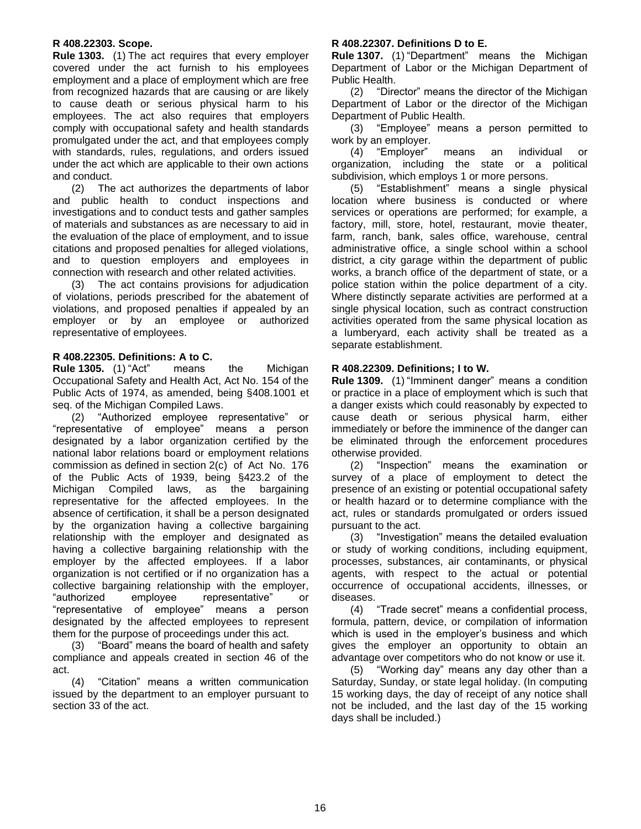#### **R 408.22303. Scope.**

**Rule 1303.** (1) The act requires that every employer covered under the act furnish to his employees employment and a place of employment which are free from recognized hazards that are causing or are likely to cause death or serious physical harm to his employees. The act also requires that employers comply with occupational safety and health standards promulgated under the act, and that employees comply with standards, rules, regulations, and orders issued under the act which are applicable to their own actions and conduct.

(2) The act authorizes the departments of labor and public health to conduct inspections and investigations and to conduct tests and gather samples of materials and substances as are necessary to aid in the evaluation of the place of employment, and to issue citations and proposed penalties for alleged violations, and to question employers and employees in connection with research and other related activities.

(3) The act contains provisions for adjudication of violations, periods prescribed for the abatement of violations, and proposed penalties if appealed by an employer or by an employee or authorized representative of employees.

#### <span id="page-15-0"></span>**R 408.22305. Definitions: A to C.**

**Rule 1305.** (1) "Act" means the Michigan Occupational Safety and Health Act, Act No. 154 of the Public Acts of 1974, as amended, being §408.1001 et seq. of the Michigan Compiled Laws.

(2) "Authorized employee representative" or "representative of employee" means a person designated by a labor organization certified by the national labor relations board or employment relations commission as defined in section 2(c) of Act No. 176 of the Public Acts of 1939, being §423.2 of the Michigan Compiled laws, as the bargaining representative for the affected employees. In the absence of certification, it shall be a person designated by the organization having a collective bargaining relationship with the employer and designated as having a collective bargaining relationship with the employer by the affected employees. If a labor organization is not certified or if no organization has a collective bargaining relationship with the employer, "authorized employee representative" or "representative of employee" means a person designated by the affected employees to represent them for the purpose of proceedings under this act.

(3) "Board" means the board of health and safety compliance and appeals created in section 46 of the act.

<span id="page-15-1"></span>(4) "Citation" means a written communication issued by the department to an employer pursuant to section 33 of the act.

#### **R 408.22307. Definitions D to E.**

**Rule 1307.** (1) "Department" means the Michigan Department of Labor or the Michigan Department of Public Health.

(2) "Director" means the director of the Michigan Department of Labor or the director of the Michigan Department of Public Health.

(3) "Employee" means a person permitted to work by an employer.

 $(4)$  "Employer" means an individual organization, including the state or a political subdivision, which employs 1 or more persons.

(5) "Establishment" means a single physical location where business is conducted or where services or operations are performed; for example, a factory, mill, store, hotel, restaurant, movie theater, farm, ranch, bank, sales office, warehouse, central administrative office, a single school within a school district, a city garage within the department of public works, a branch office of the department of state, or a police station within the police department of a city. Where distinctly separate activities are performed at a single physical location, such as contract construction activities operated from the same physical location as a lumberyard, each activity shall be treated as a separate establishment.

#### <span id="page-15-2"></span>**R 408.22309. Definitions; I to W.**

**Rule 1309.** (1) "Imminent danger" means a condition or practice in a place of employment which is such that a danger exists which could reasonably by expected to cause death or serious physical harm, either immediately or before the imminence of the danger can be eliminated through the enforcement procedures otherwise provided.

(2) "Inspection" means the examination or survey of a place of employment to detect the presence of an existing or potential occupational safety or health hazard or to determine compliance with the act, rules or standards promulgated or orders issued pursuant to the act.

(3) "Investigation" means the detailed evaluation or study of working conditions, including equipment, processes, substances, air contaminants, or physical agents, with respect to the actual or potential occurrence of occupational accidents, illnesses, or diseases.

(4) "Trade secret" means a confidential process, formula, pattern, device, or compilation of information which is used in the employer's business and which gives the employer an opportunity to obtain an advantage over competitors who do not know or use it.

<span id="page-15-3"></span>(5) "Working day" means any day other than a Saturday, Sunday, or state legal holiday. (In computing 15 working days, the day of receipt of any notice shall not be included, and the last day of the 15 working days shall be included.)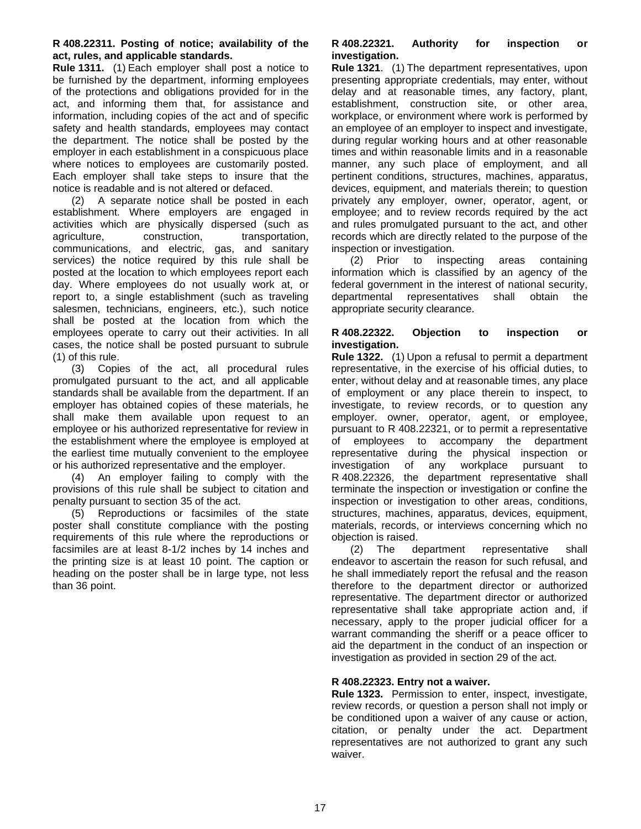#### **R 408.22311. Posting of notice; availability of the act, rules, and applicable standards.**

**Rule 1311.** (1) Each employer shall post a notice to be furnished by the department, informing employees of the protections and obligations provided for in the act, and informing them that, for assistance and information, including copies of the act and of specific safety and health standards, employees may contact the department. The notice shall be posted by the employer in each establishment in a conspicuous place where notices to employees are customarily posted. Each employer shall take steps to insure that the notice is readable and is not altered or defaced.

(2) A separate notice shall be posted in each establishment. Where employers are engaged in activities which are physically dispersed (such as agriculture, construction, transportation, communications, and electric, gas, and sanitary services) the notice required by this rule shall be posted at the location to which employees report each day. Where employees do not usually work at, or report to, a single establishment (such as traveling salesmen, technicians, engineers, etc.), such notice shall be posted at the location from which the employees operate to carry out their activities. In all cases, the notice shall be posted pursuant to subrule (1) of this rule.

(3) Copies of the act, all procedural rules promulgated pursuant to the act, and all applicable standards shall be available from the department. If an employer has obtained copies of these materials, he shall make them available upon request to an employee or his authorized representative for review in the establishment where the employee is employed at the earliest time mutually convenient to the employee or his authorized representative and the employer.

(4) An employer failing to comply with the provisions of this rule shall be subject to citation and penalty pursuant to section 35 of the act.

<span id="page-16-0"></span>(5) Reproductions or facsimiles of the state poster shall constitute compliance with the posting requirements of this rule where the reproductions or facsimiles are at least 8-1/2 inches by 14 inches and the printing size is at least 10 point. The caption or heading on the poster shall be in large type, not less than 36 point.

#### **R 408.22321. Authority for inspection or investigation.**

**Rule 1321**. (1) The department representatives, upon presenting appropriate credentials, may enter, without delay and at reasonable times, any factory, plant, establishment, construction site, or other area, workplace, or environment where work is performed by an employee of an employer to inspect and investigate, during regular working hours and at other reasonable times and within reasonable limits and in a reasonable manner, any such place of employment, and all pertinent conditions, structures, machines, apparatus, devices, equipment, and materials therein; to question privately any employer, owner, operator, agent, or employee; and to review records required by the act and rules promulgated pursuant to the act, and other records which are directly related to the purpose of the inspection or investigation.

(2) Prior to inspecting areas containing information which is classified by an agency of the federal government in the interest of national security, departmental representatives shall obtain the appropriate security clearance.

#### <span id="page-16-1"></span>**R 408.22322. Objection to inspection or investigation.**

**Rule 1322.** (1) Upon a refusal to permit a department representative, in the exercise of his official duties, to enter, without delay and at reasonable times, any place of employment or any place therein to inspect, to investigate, to review records, or to question any employer. owner, operator, agent, or employee, pursuant to R 408.22321, or to permit a representative of employees to accompany the department representative during the physical inspection or investigation of any workplace pursuant to R 408.22326, the department representative shall terminate the inspection or investigation or confine the inspection or investigation to other areas, conditions, structures, machines, apparatus, devices, equipment, materials, records, or interviews concerning which no objection is raised.

(2) The department representative shall endeavor to ascertain the reason for such refusal, and he shall immediately report the refusal and the reason therefore to the department director or authorized representative. The department director or authorized representative shall take appropriate action and, if necessary, apply to the proper judicial officer for a warrant commanding the sheriff or a peace officer to aid the department in the conduct of an inspection or investigation as provided in section 29 of the act.

#### <span id="page-16-2"></span>**R 408.22323. Entry not a waiver.**

**Rule 1323.** Permission to enter, inspect, investigate, review records, or question a person shall not imply or be conditioned upon a waiver of any cause or action, citation, or penalty under the act. Department representatives are not authorized to grant any such waiver.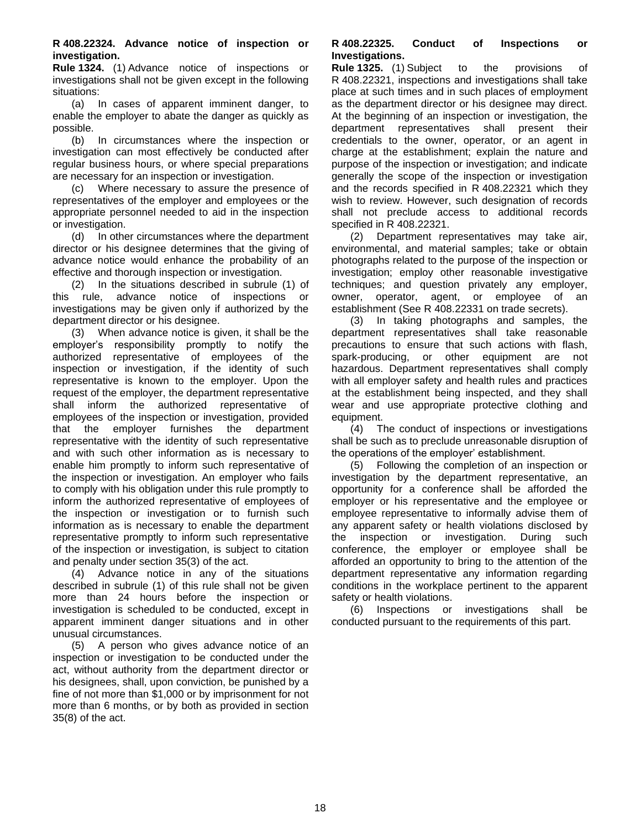<span id="page-17-0"></span>**R 408.22324. Advance notice of inspection or investigation.**

**Rule 1324.** (1) Advance notice of inspections or investigations shall not be given except in the following situations:

(a) In cases of apparent imminent danger, to enable the employer to abate the danger as quickly as possible.

(b) In circumstances where the inspection or investigation can most effectively be conducted after regular business hours, or where special preparations are necessary for an inspection or investigation.

(c) Where necessary to assure the presence of representatives of the employer and employees or the appropriate personnel needed to aid in the inspection or investigation.

(d) In other circumstances where the department director or his designee determines that the giving of advance notice would enhance the probability of an effective and thorough inspection or investigation.

(2) In the situations described in subrule (1) of this rule, advance notice of inspections or investigations may be given only if authorized by the department director or his designee.

(3) When advance notice is given, it shall be the employer's responsibility promptly to notify the authorized representative of employees of the inspection or investigation, if the identity of such representative is known to the employer. Upon the request of the employer, the department representative shall inform the authorized representative of employees of the inspection or investigation, provided that the employer furnishes the department representative with the identity of such representative and with such other information as is necessary to enable him promptly to inform such representative of the inspection or investigation. An employer who fails to comply with his obligation under this rule promptly to inform the authorized representative of employees of the inspection or investigation or to furnish such information as is necessary to enable the department representative promptly to inform such representative of the inspection or investigation, is subject to citation and penalty under section 35(3) of the act.

(4) Advance notice in any of the situations described in subrule (1) of this rule shall not be given more than 24 hours before the inspection or investigation is scheduled to be conducted, except in apparent imminent danger situations and in other unusual circumstances.

<span id="page-17-1"></span>(5) A person who gives advance notice of an inspection or investigation to be conducted under the act, without authority from the department director or his designees, shall, upon conviction, be punished by a fine of not more than \$1,000 or by imprisonment for not more than 6 months, or by both as provided in section 35(8) of the act.

#### **R 408.22325. Conduct of Inspections or Investigations.**

**Rule 1325.** (1) Subject to the provisions of R 408.22321, inspections and investigations shall take place at such times and in such places of employment as the department director or his designee may direct. At the beginning of an inspection or investigation, the department representatives shall present their credentials to the owner, operator, or an agent in charge at the establishment; explain the nature and purpose of the inspection or investigation; and indicate generally the scope of the inspection or investigation and the records specified in R 408.22321 which they wish to review. However, such designation of records shall not preclude access to additional records specified in R 408.22321.

(2) Department representatives may take air, environmental, and material samples; take or obtain photographs related to the purpose of the inspection or investigation; employ other reasonable investigative techniques; and question privately any employer, owner, operator, agent, or employee of an establishment (See R 408.22331 on trade secrets).

(3) In taking photographs and samples, the department representatives shall take reasonable precautions to ensure that such actions with flash, spark-producing, or other equipment are not hazardous. Department representatives shall comply with all employer safety and health rules and practices at the establishment being inspected, and they shall wear and use appropriate protective clothing and equipment.

(4) The conduct of inspections or investigations shall be such as to preclude unreasonable disruption of the operations of the employer' establishment.

(5) Following the completion of an inspection or investigation by the department representative, an opportunity for a conference shall be afforded the employer or his representative and the employee or employee representative to informally advise them of any apparent safety or health violations disclosed by the inspection or investigation. During such conference, the employer or employee shall be afforded an opportunity to bring to the attention of the department representative any information regarding conditions in the workplace pertinent to the apparent safety or health violations.

<span id="page-17-2"></span>(6) Inspections or investigations shall be conducted pursuant to the requirements of this part.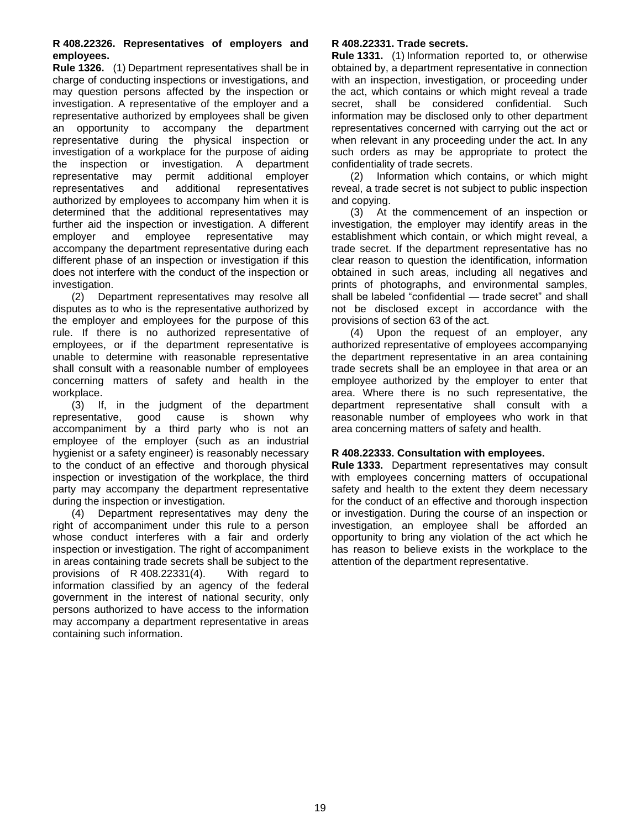#### **R 408.22326. Representatives of employers and employees.**

**Rule 1326.** (1) Department representatives shall be in charge of conducting inspections or investigations, and may question persons affected by the inspection or investigation. A representative of the employer and a representative authorized by employees shall be given an opportunity to accompany the department representative during the physical inspection or investigation of a workplace for the purpose of aiding the inspection or investigation. A department representative may permit additional employer representatives and additional representatives authorized by employees to accompany him when it is determined that the additional representatives may further aid the inspection or investigation. A different employer and employee representative may accompany the department representative during each different phase of an inspection or investigation if this does not interfere with the conduct of the inspection or investigation.

(2) Department representatives may resolve all disputes as to who is the representative authorized by the employer and employees for the purpose of this rule. If there is no authorized representative of employees, or if the department representative is unable to determine with reasonable representative shall consult with a reasonable number of employees concerning matters of safety and health in the workplace.

(3) If, in the judgment of the department representative, good cause is shown why accompaniment by a third party who is not an employee of the employer (such as an industrial hygienist or a safety engineer) is reasonably necessary to the conduct of an effective and thorough physical inspection or investigation of the workplace, the third party may accompany the department representative during the inspection or investigation.

<span id="page-18-0"></span>(4) Department representatives may deny the right of accompaniment under this rule to a person whose conduct interferes with a fair and orderly inspection or investigation. The right of accompaniment in areas containing trade secrets shall be subject to the provisions of R 408.22331(4). With regard to information classified by an agency of the federal government in the interest of national security, only persons authorized to have access to the information may accompany a department representative in areas containing such information.

#### **R 408.22331. Trade secrets.**

**Rule 1331.** (1) Information reported to, or otherwise obtained by, a department representative in connection with an inspection, investigation, or proceeding under the act, which contains or which might reveal a trade secret, shall be considered confidential. Such information may be disclosed only to other department representatives concerned with carrying out the act or when relevant in any proceeding under the act. In any such orders as may be appropriate to protect the confidentiality of trade secrets.

(2) Information which contains, or which might reveal, a trade secret is not subject to public inspection and copying.

(3) At the commencement of an inspection or investigation, the employer may identify areas in the establishment which contain, or which might reveal, a trade secret. If the department representative has no clear reason to question the identification, information obtained in such areas, including all negatives and prints of photographs, and environmental samples, shall be labeled "confidential — trade secret" and shall not be disclosed except in accordance with the provisions of section 63 of the act.

(4) Upon the request of an employer, any authorized representative of employees accompanying the department representative in an area containing trade secrets shall be an employee in that area or an employee authorized by the employer to enter that area. Where there is no such representative, the department representative shall consult with a reasonable number of employees who work in that area concerning matters of safety and health.

#### <span id="page-18-1"></span>**R 408.22333. Consultation with employees.**

<span id="page-18-2"></span>**Rule 1333.** Department representatives may consult with employees concerning matters of occupational safety and health to the extent they deem necessary for the conduct of an effective and thorough inspection or investigation. During the course of an inspection or investigation, an employee shall be afforded an opportunity to bring any violation of the act which he has reason to believe exists in the workplace to the attention of the department representative.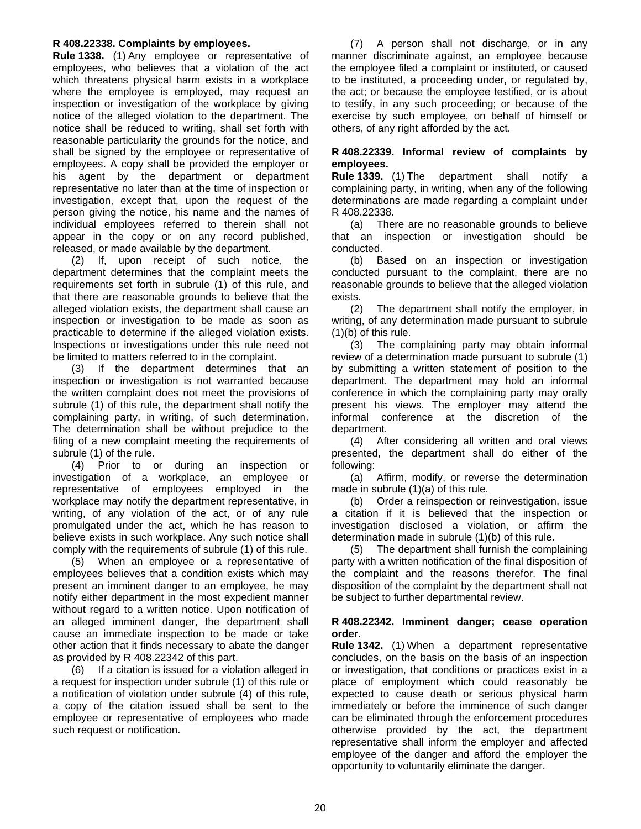#### **R 408.22338. Complaints by employees.**

**Rule 1338.** (1) Any employee or representative of employees, who believes that a violation of the act which threatens physical harm exists in a workplace where the employee is employed, may request an inspection or investigation of the workplace by giving notice of the alleged violation to the department. The notice shall be reduced to writing, shall set forth with reasonable particularity the grounds for the notice, and shall be signed by the employee or representative of employees. A copy shall be provided the employer or his agent by the department or department representative no later than at the time of inspection or investigation, except that, upon the request of the person giving the notice, his name and the names of individual employees referred to therein shall not appear in the copy or on any record published, released, or made available by the department.

(2) If, upon receipt of such notice, the department determines that the complaint meets the requirements set forth in subrule (1) of this rule, and that there are reasonable grounds to believe that the alleged violation exists, the department shall cause an inspection or investigation to be made as soon as practicable to determine if the alleged violation exists. Inspections or investigations under this rule need not be limited to matters referred to in the complaint.

(3) If the department determines that an inspection or investigation is not warranted because the written complaint does not meet the provisions of subrule (1) of this rule, the department shall notify the complaining party, in writing, of such determination. The determination shall be without prejudice to the filing of a new complaint meeting the requirements of subrule (1) of the rule.

(4) Prior to or during an inspection or investigation of a workplace, an employee or representative of employees employed in the workplace may notify the department representative, in writing, of any violation of the act, or of any rule promulgated under the act, which he has reason to believe exists in such workplace. Any such notice shall comply with the requirements of subrule (1) of this rule.

(5) When an employee or a representative of employees believes that a condition exists which may present an imminent danger to an employee, he may notify either department in the most expedient manner without regard to a written notice. Upon notification of an alleged imminent danger, the department shall cause an immediate inspection to be made or take other action that it finds necessary to abate the danger as provided by R 408.22342 of this part.

(6) If a citation is issued for a violation alleged in a request for inspection under subrule (1) of this rule or a notification of violation under subrule (4) of this rule, a copy of the citation issued shall be sent to the employee or representative of employees who made such request or notification.

(7) A person shall not discharge, or in any manner discriminate against, an employee because the employee filed a complaint or instituted, or caused to be instituted, a proceeding under, or regulated by, the act; or because the employee testified, or is about to testify, in any such proceeding; or because of the exercise by such employee, on behalf of himself or others, of any right afforded by the act.

#### <span id="page-19-0"></span>**R 408.22339. Informal review of complaints by employees.**

**Rule 1339.** (1) The department shall notify a complaining party, in writing, when any of the following determinations are made regarding a complaint under R 408.22338.

(a) There are no reasonable grounds to believe that an inspection or investigation should be conducted.

(b) Based on an inspection or investigation conducted pursuant to the complaint, there are no reasonable grounds to believe that the alleged violation exists.

(2) The department shall notify the employer, in writing, of any determination made pursuant to subrule (1)(b) of this rule.

(3) The complaining party may obtain informal review of a determination made pursuant to subrule (1) by submitting a written statement of position to the department. The department may hold an informal conference in which the complaining party may orally present his views. The employer may attend the informal conference at the discretion of the department.

(4) After considering all written and oral views presented, the department shall do either of the following:

(a) Affirm, modify, or reverse the determination made in subrule (1)(a) of this rule.

(b) Order a reinspection or reinvestigation, issue a citation if it is believed that the inspection or investigation disclosed a violation, or affirm the determination made in subrule (1)(b) of this rule.

(5) The department shall furnish the complaining party with a written notification of the final disposition of the complaint and the reasons therefor. The final disposition of the complaint by the department shall not be subject to further departmental review.

#### <span id="page-19-1"></span>**R 408.22342. Imminent danger; cease operation order.**

**Rule 1342.** (1) When a department representative concludes, on the basis on the basis of an inspection or investigation, that conditions or practices exist in a place of employment which could reasonably be expected to cause death or serious physical harm immediately or before the imminence of such danger can be eliminated through the enforcement procedures otherwise provided by the act, the department representative shall inform the employer and affected employee of the danger and afford the employer the opportunity to voluntarily eliminate the danger.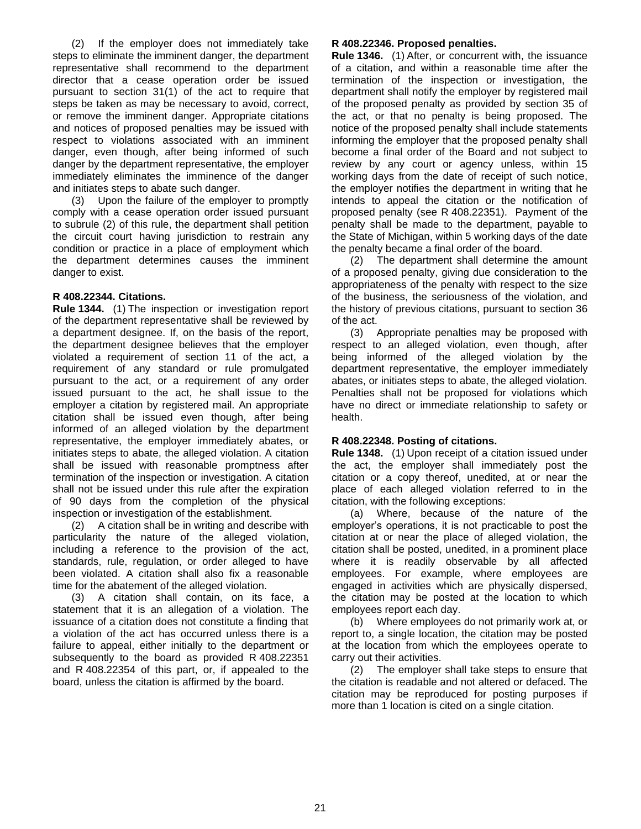(2) If the employer does not immediately take steps to eliminate the imminent danger, the department representative shall recommend to the department director that a cease operation order be issued pursuant to section 31(1) of the act to require that steps be taken as may be necessary to avoid, correct, or remove the imminent danger. Appropriate citations and notices of proposed penalties may be issued with respect to violations associated with an imminent danger, even though, after being informed of such danger by the department representative, the employer immediately eliminates the imminence of the danger and initiates steps to abate such danger.

(3) Upon the failure of the employer to promptly comply with a cease operation order issued pursuant to subrule (2) of this rule, the department shall petition the circuit court having jurisdiction to restrain any condition or practice in a place of employment which the department determines causes the imminent danger to exist.

#### <span id="page-20-0"></span>**R 408.22344. Citations.**

**Rule 1344.** (1) The inspection or investigation report of the department representative shall be reviewed by a department designee. If, on the basis of the report, the department designee believes that the employer violated a requirement of section 11 of the act, a requirement of any standard or rule promulgated pursuant to the act, or a requirement of any order issued pursuant to the act, he shall issue to the employer a citation by registered mail. An appropriate citation shall be issued even though, after being informed of an alleged violation by the department representative, the employer immediately abates, or initiates steps to abate, the alleged violation. A citation shall be issued with reasonable promptness after termination of the inspection or investigation. A citation shall not be issued under this rule after the expiration of 90 days from the completion of the physical inspection or investigation of the establishment.

(2) A citation shall be in writing and describe with particularity the nature of the alleged violation, including a reference to the provision of the act, standards, rule, regulation, or order alleged to have been violated. A citation shall also fix a reasonable time for the abatement of the alleged violation.

<span id="page-20-1"></span>(3) A citation shall contain, on its face, a statement that it is an allegation of a violation. The issuance of a citation does not constitute a finding that a violation of the act has occurred unless there is a failure to appeal, either initially to the department or subsequently to the board as provided R 408.22351 and R 408.22354 of this part, or, if appealed to the board, unless the citation is affirmed by the board.

#### **R 408.22346. Proposed penalties.**

**Rule 1346.** (1) After, or concurrent with, the issuance of a citation, and within a reasonable time after the termination of the inspection or investigation, the department shall notify the employer by registered mail of the proposed penalty as provided by section 35 of the act, or that no penalty is being proposed. The notice of the proposed penalty shall include statements informing the employer that the proposed penalty shall become a final order of the Board and not subject to review by any court or agency unless, within 15 working days from the date of receipt of such notice, the employer notifies the department in writing that he intends to appeal the citation or the notification of proposed penalty (see R 408.22351). Payment of the penalty shall be made to the department, payable to the State of Michigan, within 5 working days of the date the penalty became a final order of the board.

(2) The department shall determine the amount of a proposed penalty, giving due consideration to the appropriateness of the penalty with respect to the size of the business, the seriousness of the violation, and the history of previous citations, pursuant to section 36 of the act.

(3) Appropriate penalties may be proposed with respect to an alleged violation, even though, after being informed of the alleged violation by the department representative, the employer immediately abates, or initiates steps to abate, the alleged violation. Penalties shall not be proposed for violations which have no direct or immediate relationship to safety or health.

#### <span id="page-20-2"></span>**R 408.22348. Posting of citations.**

**Rule 1348.** (1) Upon receipt of a citation issued under the act, the employer shall immediately post the citation or a copy thereof, unedited, at or near the place of each alleged violation referred to in the citation, with the following exceptions:

(a) Where, because of the nature of the employer's operations, it is not practicable to post the citation at or near the place of alleged violation, the citation shall be posted, unedited, in a prominent place where it is readily observable by all affected employees. For example, where employees are engaged in activities which are physically dispersed, the citation may be posted at the location to which employees report each day.

(b) Where employees do not primarily work at, or report to, a single location, the citation may be posted at the location from which the employees operate to carry out their activities.

(2) The employer shall take steps to ensure that the citation is readable and not altered or defaced. The citation may be reproduced for posting purposes if more than 1 location is cited on a single citation.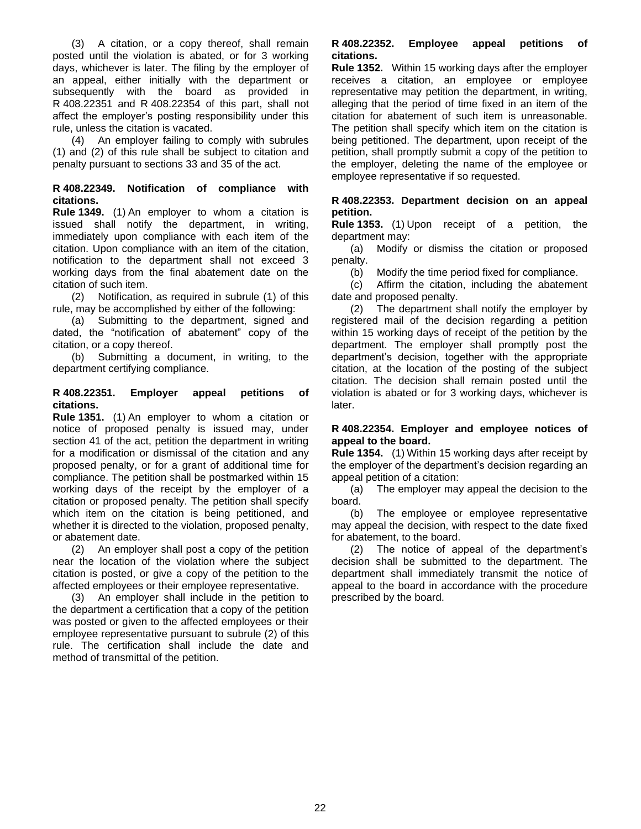(3) A citation, or a copy thereof, shall remain posted until the violation is abated, or for 3 working days, whichever is later. The filing by the employer of an appeal, either initially with the department or subsequently with the board as provided in R 408.22351 and R 408.22354 of this part, shall not affect the employer's posting responsibility under this rule, unless the citation is vacated.

(4) An employer failing to comply with subrules (1) and (2) of this rule shall be subject to citation and penalty pursuant to sections 33 and 35 of the act.

#### <span id="page-21-0"></span>**R 408.22349. Notification of compliance with citations.**

**Rule 1349.** (1) An employer to whom a citation is issued shall notify the department, in writing, immediately upon compliance with each item of the citation. Upon compliance with an item of the citation, notification to the department shall not exceed 3 working days from the final abatement date on the citation of such item.

(2) Notification, as required in subrule (1) of this rule, may be accomplished by either of the following:

(a) Submitting to the department, signed and dated, the "notification of abatement" copy of the citation, or a copy thereof.

(b) Submitting a document, in writing, to the department certifying compliance.

#### <span id="page-21-1"></span>**R 408.22351. Employer appeal petitions of citations.**

**Rule 1351.** (1) An employer to whom a citation or notice of proposed penalty is issued may, under section 41 of the act, petition the department in writing for a modification or dismissal of the citation and any proposed penalty, or for a grant of additional time for compliance. The petition shall be postmarked within 15 working days of the receipt by the employer of a citation or proposed penalty. The petition shall specify which item on the citation is being petitioned, and whether it is directed to the violation, proposed penalty, or abatement date.

(2) An employer shall post a copy of the petition near the location of the violation where the subject citation is posted, or give a copy of the petition to the affected employees or their employee representative.

<span id="page-21-2"></span>(3) An employer shall include in the petition to the department a certification that a copy of the petition was posted or given to the affected employees or their employee representative pursuant to subrule (2) of this rule. The certification shall include the date and method of transmittal of the petition.

#### **R 408.22352. Employee appeal petitions of citations.**

**Rule 1352.** Within 15 working days after the employer receives a citation, an employee or employee representative may petition the department, in writing, alleging that the period of time fixed in an item of the citation for abatement of such item is unreasonable. The petition shall specify which item on the citation is being petitioned. The department, upon receipt of the petition, shall promptly submit a copy of the petition to the employer, deleting the name of the employee or employee representative if so requested.

#### <span id="page-21-3"></span>**R 408.22353. Department decision on an appeal petition.**

**Rule 1353.** (1) Upon receipt of a petition, the department may:

(a) Modify or dismiss the citation or proposed penalty.

(b) Modify the time period fixed for compliance.

(c) Affirm the citation, including the abatement date and proposed penalty.

(2) The department shall notify the employer by registered mail of the decision regarding a petition within 15 working days of receipt of the petition by the department. The employer shall promptly post the department's decision, together with the appropriate citation, at the location of the posting of the subject citation. The decision shall remain posted until the violation is abated or for 3 working days, whichever is later.

#### <span id="page-21-4"></span>**R 408.22354. Employer and employee notices of appeal to the board.**

**Rule 1354.** (1) Within 15 working days after receipt by the employer of the department's decision regarding an appeal petition of a citation:

(a) The employer may appeal the decision to the board.

(b) The employee or employee representative may appeal the decision, with respect to the date fixed for abatement, to the board.

<span id="page-21-5"></span>(2) The notice of appeal of the department's decision shall be submitted to the department. The department shall immediately transmit the notice of appeal to the board in accordance with the procedure prescribed by the board.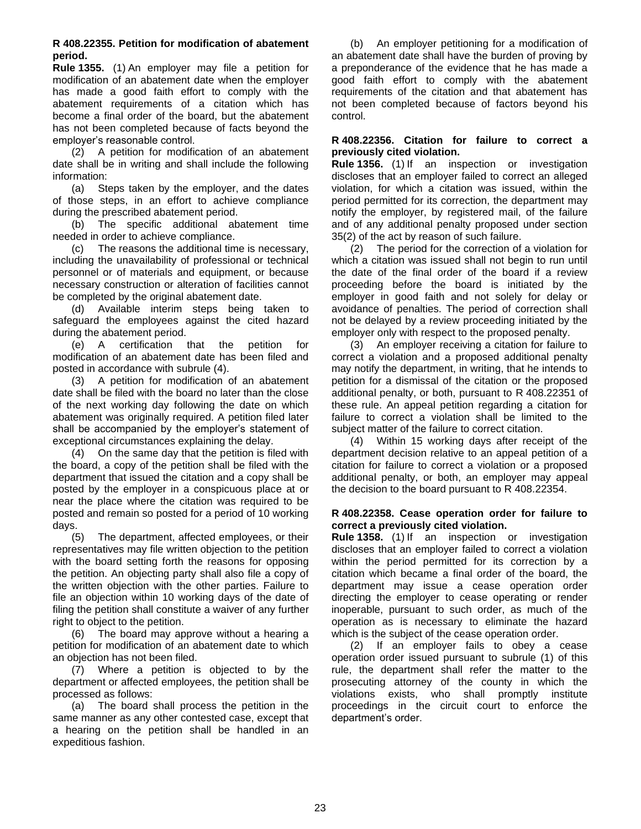#### **R 408.22355. Petition for modification of abatement period.**

**Rule 1355.** (1) An employer may file a petition for modification of an abatement date when the employer has made a good faith effort to comply with the abatement requirements of a citation which has become a final order of the board, but the abatement has not been completed because of facts beyond the employer's reasonable control.

(2) A petition for modification of an abatement date shall be in writing and shall include the following information:

(a) Steps taken by the employer, and the dates of those steps, in an effort to achieve compliance during the prescribed abatement period.

(b) The specific additional abatement time needed in order to achieve compliance.

(c) The reasons the additional time is necessary, including the unavailability of professional or technical personnel or of materials and equipment, or because necessary construction or alteration of facilities cannot be completed by the original abatement date.

(d) Available interim steps being taken to safeguard the employees against the cited hazard during the abatement period.

(e) A certification that the petition for modification of an abatement date has been filed and posted in accordance with subrule (4).

(3) A petition for modification of an abatement date shall be filed with the board no later than the close of the next working day following the date on which abatement was originally required. A petition filed later shall be accompanied by the employer's statement of exceptional circumstances explaining the delay.

(4) On the same day that the petition is filed with the board, a copy of the petition shall be filed with the department that issued the citation and a copy shall be posted by the employer in a conspicuous place at or near the place where the citation was required to be posted and remain so posted for a period of 10 working days.

(5) The department, affected employees, or their representatives may file written objection to the petition with the board setting forth the reasons for opposing the petition. An objecting party shall also file a copy of the written objection with the other parties. Failure to file an objection within 10 working days of the date of filing the petition shall constitute a waiver of any further right to object to the petition.

(6) The board may approve without a hearing a petition for modification of an abatement date to which an objection has not been filed.

(7) Where a petition is objected to by the department or affected employees, the petition shall be processed as follows:

(a) The board shall process the petition in the same manner as any other contested case, except that a hearing on the petition shall be handled in an expeditious fashion.

(b) An employer petitioning for a modification of an abatement date shall have the burden of proving by a preponderance of the evidence that he has made a good faith effort to comply with the abatement requirements of the citation and that abatement has not been completed because of factors beyond his control.

#### <span id="page-22-0"></span>**R 408.22356. Citation for failure to correct a previously cited violation.**

**Rule 1356.** (1) If an inspection or investigation discloses that an employer failed to correct an alleged violation, for which a citation was issued, within the period permitted for its correction, the department may notify the employer, by registered mail, of the failure and of any additional penalty proposed under section 35(2) of the act by reason of such failure.

(2) The period for the correction of a violation for which a citation was issued shall not begin to run until the date of the final order of the board if a review proceeding before the board is initiated by the employer in good faith and not solely for delay or avoidance of penalties. The period of correction shall not be delayed by a review proceeding initiated by the employer only with respect to the proposed penalty.

(3) An employer receiving a citation for failure to correct a violation and a proposed additional penalty may notify the department, in writing, that he intends to petition for a dismissal of the citation or the proposed additional penalty, or both, pursuant to R 408.22351 of these rule. An appeal petition regarding a citation for failure to correct a violation shall be limited to the subject matter of the failure to correct citation.

(4) Within 15 working days after receipt of the department decision relative to an appeal petition of a citation for failure to correct a violation or a proposed additional penalty, or both, an employer may appeal the decision to the board pursuant to R 408.22354.

#### <span id="page-22-1"></span>**R 408.22358. Cease operation order for failure to correct a previously cited violation.**

**Rule 1358.** (1) If an inspection or investigation discloses that an employer failed to correct a violation within the period permitted for its correction by a citation which became a final order of the board, the department may issue a cease operation order directing the employer to cease operating or render inoperable, pursuant to such order, as much of the operation as is necessary to eliminate the hazard which is the subject of the cease operation order.

<span id="page-22-2"></span>(2) If an employer fails to obey a cease operation order issued pursuant to subrule (1) of this rule, the department shall refer the matter to the prosecuting attorney of the county in which the violations exists, who shall promptly institute proceedings in the circuit court to enforce the department's order.